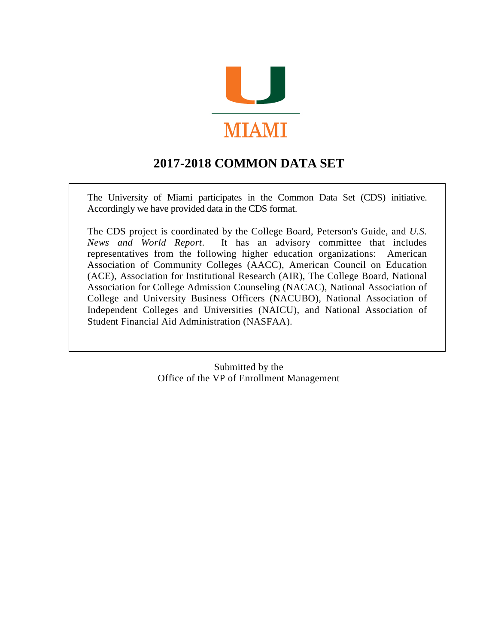

# **2017-2018 COMMON DATA SET**

The University of Miami participates in the Common Data Set (CDS) initiative. Accordingly we have provided data in the CDS format.

The CDS project is coordinated by the College Board, Peterson's Guide, and *U.S. News and World Report*. It has an advisory committee that includes representatives from the following higher education organizations: American Association of Community Colleges (AACC), American Council on Education (ACE), Association for Institutional Research (AIR), The College Board, National Association for College Admission Counseling (NACAC), National Association of College and University Business Officers (NACUBO), National Association of Independent Colleges and Universities (NAICU), and National Association of Student Financial Aid Administration (NASFAA).

> Submitted by the Office of the VP of Enrollment Management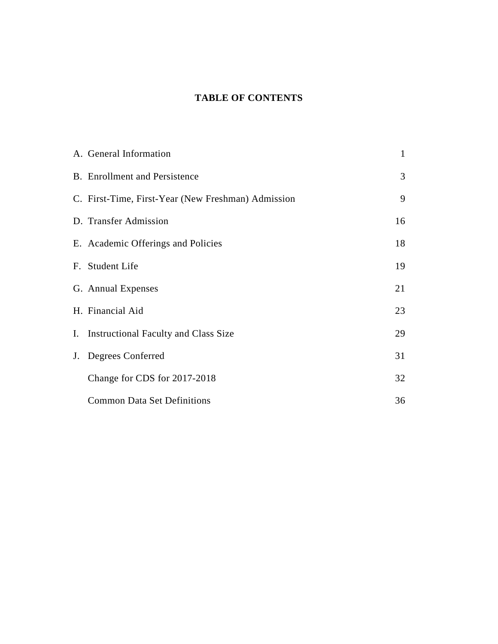# **TABLE OF CONTENTS**

| A. General Information                             | $\mathbf{1}$ |
|----------------------------------------------------|--------------|
| <b>B.</b> Enrollment and Persistence               | 3            |
| C. First-Time, First-Year (New Freshman) Admission | 9            |
| D. Transfer Admission                              | 16           |
| E. Academic Offerings and Policies                 | 18           |
| F. Student Life                                    | 19           |
| G. Annual Expenses                                 | 21           |
| H. Financial Aid                                   | 23           |
| I. Instructional Faculty and Class Size            | 29           |
| J. Degrees Conferred                               | 31           |
| Change for CDS for 2017-2018                       | 32           |
| <b>Common Data Set Definitions</b>                 | 36           |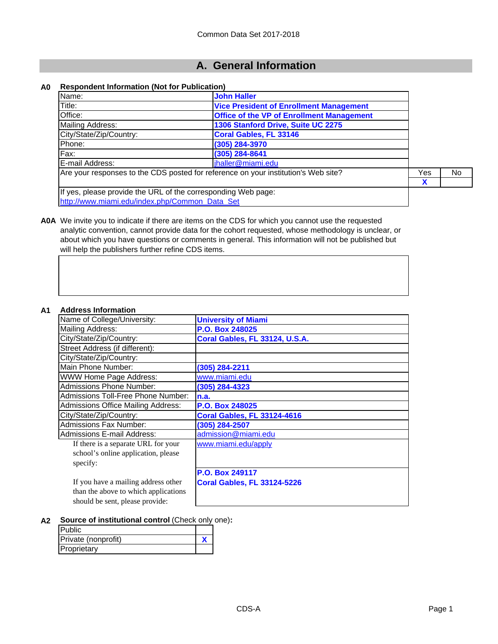# **A. General Information**

#### **A0 Respondent Information (Not for Publication)**

| Name:                                                         | <b>John Haller</b>                                                                 |     |     |
|---------------------------------------------------------------|------------------------------------------------------------------------------------|-----|-----|
| Title:                                                        | <b>Vice President of Enrollment Management</b>                                     |     |     |
| Office:                                                       | <b>Office of the VP of Enrollment Management</b>                                   |     |     |
| Mailing Address:                                              | 1306 Stanford Drive, Suite UC 2275                                                 |     |     |
| City/State/Zip/Country:                                       | Coral Gables, FL 33146                                                             |     |     |
| Phone:                                                        | (305) 284-3970                                                                     |     |     |
| Fax:                                                          | (305) 284-8641                                                                     |     |     |
| E-mail Address:                                               | jhaller@miami.edu                                                                  |     |     |
|                                                               | Are your responses to the CDS posted for reference on your institution's Web site? | Yes | No. |
|                                                               |                                                                                    | X   |     |
| If yes, please provide the URL of the corresponding Web page: |                                                                                    |     |     |
| http://www.miami.edu/index.php/Common Data Set                |                                                                                    |     |     |

**A0A** We invite you to indicate if there are items on the CDS for which you cannot use the requested analytic convention, cannot provide data for the cohort requested, whose methodology is unclear, or about which you have questions or comments in general. This information will not be published but will help the publishers further refine CDS items.

#### **A1 Address Information**

| Name of College/University:               | <b>University of Miami</b>         |
|-------------------------------------------|------------------------------------|
| Mailing Address:                          | P.O. Box 248025                    |
| City/State/Zip/Country:                   | Coral Gables, FL 33124, U.S.A.     |
| Street Address (if different):            |                                    |
| City/State/Zip/Country:                   |                                    |
| Main Phone Number:                        | (305) 284-2211                     |
| <b>WWW Home Page Address:</b>             | www.miami.edu                      |
| <b>Admissions Phone Number:</b>           | (305) 284-4323                     |
| Admissions Toll-Free Phone Number:        | n.a.                               |
| <b>Admissions Office Mailing Address:</b> | P.O. Box 248025                    |
| City/State/Zip/Country:                   | <b>Coral Gables, FL 33124-4616</b> |
| Admissions Fax Number:                    | (305) 284-2507                     |
| Admissions E-mail Address:                | admission@miami.edu                |
| If there is a separate URL for your       | www.miami.edu/apply                |
| school's online application, please       |                                    |
| specify:                                  |                                    |
|                                           | P.O. Box 249117                    |
| If you have a mailing address other       | <b>Coral Gables, FL 33124-5226</b> |
| than the above to which applications      |                                    |
| should be sent, please provide:           |                                    |

**A2 Source of institutional control** (Check only one)**:**

| <b>Public</b>       |  |
|---------------------|--|
| Private (nonprofit) |  |
| Proprietary         |  |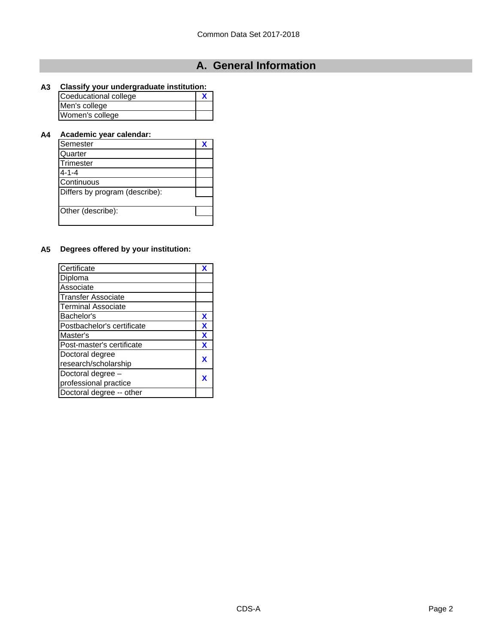# **A. General Information**

#### **A3 Classify your undergraduate institution:**

| Coeducational college |  |
|-----------------------|--|
| Men's college         |  |
| Women's college       |  |

### **A4 Academic year calendar:**

| Semester                       |  |
|--------------------------------|--|
| Quarter                        |  |
| Trimester                      |  |
| $4 - 1 - 4$                    |  |
| Continuous                     |  |
| Differs by program (describe): |  |
|                                |  |
| Other (describe):              |  |
|                                |  |

### **A5 Degrees offered by your institution:**

| Certificate                | X                         |
|----------------------------|---------------------------|
| Diploma                    |                           |
| Associate                  |                           |
| <b>Transfer Associate</b>  |                           |
| <b>Terminal Associate</b>  |                           |
| Bachelor's                 | X                         |
| Postbachelor's certificate | X                         |
| Master's                   | $\boldsymbol{\mathsf{X}}$ |
| Post-master's certificate  | X                         |
| Doctoral degree            |                           |
| research/scholarship       | X                         |
| Doctoral degree -          |                           |
| professional practice      | X                         |
| Doctoral degree -- other   |                           |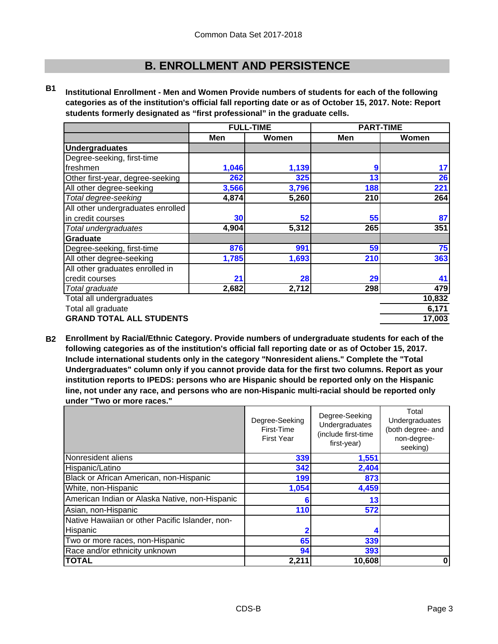**B1 Institutional Enrollment - Men and Women Provide numbers of students for each of the following categories as of the institution's official fall reporting date or as of October 15, 2017. Note: Report students formerly designated as "first professional" in the graduate cells.**

|                                   | <b>FULL-TIME</b> |       | <b>PART-TIME</b> |        |
|-----------------------------------|------------------|-------|------------------|--------|
|                                   | Men              | Women | Men              | Women  |
| <b>Undergraduates</b>             |                  |       |                  |        |
| Degree-seeking, first-time        |                  |       |                  |        |
| freshmen                          | 1,046            | 1,139 | 9                | 17     |
| Other first-year, degree-seeking  | 262              | 325   | 13               | 26     |
| All other degree-seeking          | 3,566            | 3,796 | 188              | 221    |
| Total degree-seeking              | 4,874            | 5,260 | 210              | 264    |
| All other undergraduates enrolled |                  |       |                  |        |
| in credit courses                 | 30               | 52    | 55               | 87     |
| Total undergraduates              | 4,904            | 5,312 | 265              | 351    |
| Graduate                          |                  |       |                  |        |
| Degree-seeking, first-time        | 876              | 991   | 59               | 75     |
| All other degree-seeking          | 1,785            | 1,693 | 210              | 363    |
| All other graduates enrolled in   |                  |       |                  |        |
| credit courses                    | 21               | 28    | 29               | 41     |
| Total graduate                    | 2,682            | 2,712 | 298              | 479    |
| Total all undergraduates          |                  |       |                  | 10,832 |
| Total all graduate                |                  | 6,171 |                  |        |
| <b>GRAND TOTAL ALL STUDENTS</b>   |                  |       |                  | 17,003 |

**B2 Enrollment by Racial/Ethnic Category. Provide numbers of undergraduate students for each of the following categories as of the institution's official fall reporting date or as of October 15, 2017. Include international students only in the category "Nonresident aliens." Complete the "Total Undergraduates" column only if you cannot provide data for the first two columns. Report as your institution reports to IPEDS: persons who are Hispanic should be reported only on the Hispanic line, not under any race, and persons who are non-Hispanic multi-racial should be reported only under "Two or more races."** 

|                                                 | Degree-Seeking<br>First-Time<br><b>First Year</b> | Degree-Seeking<br>Undergraduates<br>(include first-time<br>first-year) | Total<br>Undergraduates<br>(both degree- and<br>non-degree-<br>seeking) |
|-------------------------------------------------|---------------------------------------------------|------------------------------------------------------------------------|-------------------------------------------------------------------------|
| Nonresident aliens                              | 339                                               | 1,551                                                                  |                                                                         |
| Hispanic/Latino                                 | 342                                               | 2,404                                                                  |                                                                         |
| Black or African American, non-Hispanic         | 199                                               | 873                                                                    |                                                                         |
| White, non-Hispanic                             | 1,054                                             | 4,459                                                                  |                                                                         |
| American Indian or Alaska Native, non-Hispanic  | 6                                                 | 13                                                                     |                                                                         |
| Asian, non-Hispanic                             | 110                                               | 572                                                                    |                                                                         |
| Native Hawaiian or other Pacific Islander, non- |                                                   |                                                                        |                                                                         |
| Hispanic                                        |                                                   |                                                                        |                                                                         |
| Two or more races, non-Hispanic                 | 65                                                | 339                                                                    |                                                                         |
| Race and/or ethnicity unknown                   | 94                                                | 393                                                                    |                                                                         |
| <b>TOTAL</b>                                    | 2,211                                             | 10,608                                                                 | 0                                                                       |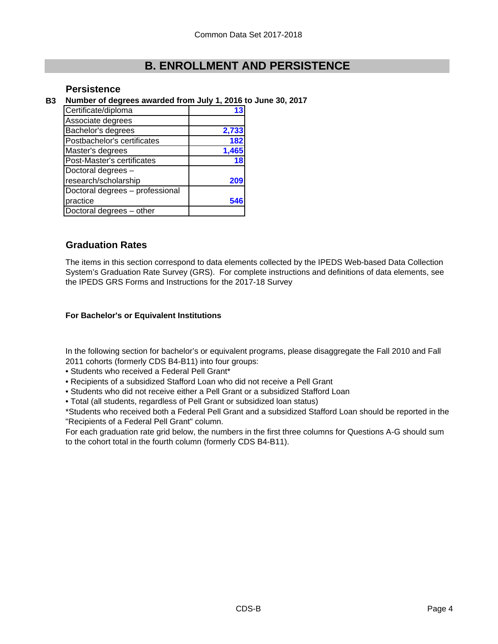### **Persistence**

**B3 Number of degrees awarded from July 1, 2016 to June 30, 2017**

| Certificate/diploma             |       |
|---------------------------------|-------|
| Associate degrees               |       |
| Bachelor's degrees              | 2,733 |
| Postbachelor's certificates     | 182   |
| Master's degrees                | 1,465 |
| Post-Master's certificates      | 18    |
| Doctoral degrees -              |       |
| research/scholarship            | 209   |
| Doctoral degrees - professional |       |
| practice                        |       |
| Doctoral degrees - other        |       |

### **Graduation Rates**

The items in this section correspond to data elements collected by the IPEDS Web-based Data Collection System's Graduation Rate Survey (GRS). For complete instructions and definitions of data elements, see the IPEDS GRS Forms and Instructions for the 2017-18 Survey

#### **For Bachelor's or Equivalent Institutions**

In the following section for bachelor's or equivalent programs, please disaggregate the Fall 2010 and Fall 2011 cohorts (formerly CDS B4-B11) into four groups:

- Students who received a Federal Pell Grant\*
- Recipients of a subsidized Stafford Loan who did not receive a Pell Grant
- Students who did not receive either a Pell Grant or a subsidized Stafford Loan
- Total (all students, regardless of Pell Grant or subsidized loan status)

\*Students who received both a Federal Pell Grant and a subsidized Stafford Loan should be reported in the "Recipients of a Federal Pell Grant" column.

For each graduation rate grid below, the numbers in the first three columns for Questions A-G should sum to the cohort total in the fourth column (formerly CDS B4-B11).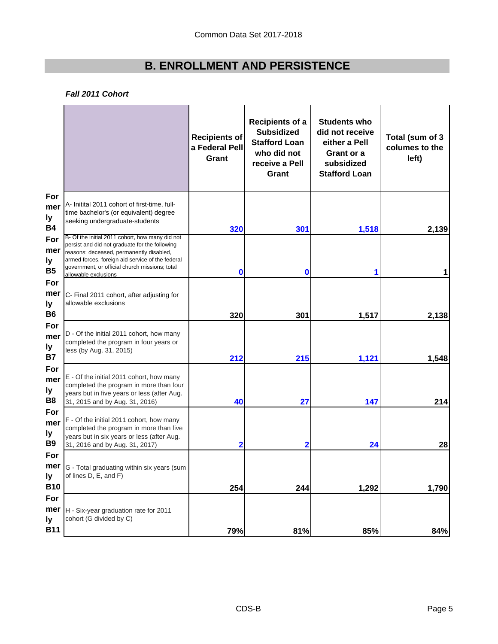#### *Fall 2011 Cohort*

|                                |                                                                                                                                                                                                                                                                             | <b>Recipients of</b><br>a Federal Pell<br>Grant | <b>Recipients of a</b><br><b>Subsidized</b><br><b>Stafford Loan</b><br>who did not<br>receive a Pell<br>Grant | <b>Students who</b><br>did not receive<br>either a Pell<br>Grant or a<br>subsidized<br><b>Stafford Loan</b> | Total (sum of 3<br>columes to the<br>left) |
|--------------------------------|-----------------------------------------------------------------------------------------------------------------------------------------------------------------------------------------------------------------------------------------------------------------------------|-------------------------------------------------|---------------------------------------------------------------------------------------------------------------|-------------------------------------------------------------------------------------------------------------|--------------------------------------------|
| For<br>mer<br>ly<br><b>B4</b>  | A- Initital 2011 cohort of first-time, full-<br>time bachelor's (or equivalent) degree<br>seeking undergraduate-students                                                                                                                                                    | 320                                             | 301                                                                                                           | 1,518                                                                                                       | 2,139                                      |
| For<br>mer<br>ly<br><b>B5</b>  | B- Of the initial 2011 cohort, how many did not<br>persist and did not graduate for the following<br>reasons: deceased, permanently disabled,<br>armed forces, foreign aid service of the federal<br>government, or official church missions; total<br>allowable exclusions | 0                                               | 0                                                                                                             | 1                                                                                                           | 1                                          |
| For<br>mer<br>ly<br>B6         | C- Final 2011 cohort, after adjusting for<br>allowable exclusions                                                                                                                                                                                                           | 320                                             | 301                                                                                                           | 1,517                                                                                                       | 2,138                                      |
| For<br>mer<br>ly<br><b>B7</b>  | D - Of the initial 2011 cohort, how many<br>completed the program in four years or<br>less (by Aug. 31, 2015)                                                                                                                                                               | 212                                             | 215                                                                                                           | 1,121                                                                                                       | 1,548                                      |
| For<br>mer<br>ly.<br>B8        | E - Of the initial 2011 cohort, how many<br>completed the program in more than four<br>years but in five years or less (after Aug.<br>31, 2015 and by Aug. 31, 2016)                                                                                                        | 40                                              | 27                                                                                                            | 147                                                                                                         | 214                                        |
| For<br>mer<br>ly.<br><b>B9</b> | F - Of the initial 2011 cohort, how many<br>completed the program in more than five<br>years but in six years or less (after Aug.<br>31, 2016 and by Aug. 31, 2017)                                                                                                         | 2                                               | 2                                                                                                             | 24                                                                                                          | 28                                         |
| For<br>ly<br><b>B10</b>        | <b>mer</b> G - Total graduating within six years (sum<br>of lines D, E, and F)                                                                                                                                                                                              | 254                                             | 244                                                                                                           | 1,292                                                                                                       | 1,790                                      |
| For<br>mer<br>ly<br><b>B11</b> | H - Six-year graduation rate for 2011<br>cohort (G divided by C)                                                                                                                                                                                                            | 79%                                             | 81%                                                                                                           | 85%                                                                                                         | 84%                                        |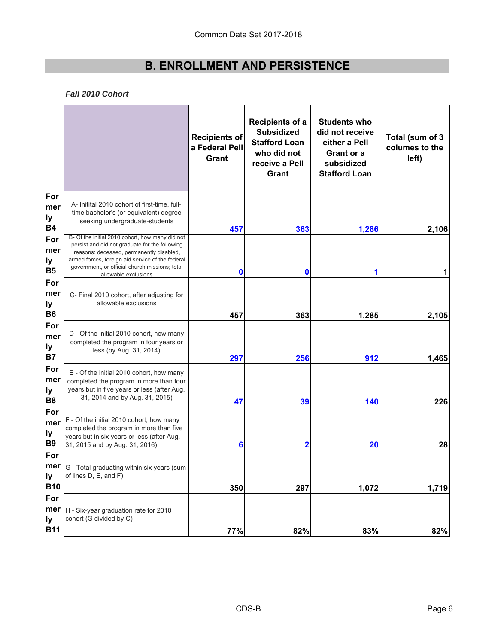#### *Fall 2010 Cohort*

|                                |                                                                                                                                                                                                                                                                             | <b>Recipients of</b><br>a Federal Pell<br>Grant | <b>Recipients of a</b><br><b>Subsidized</b><br><b>Stafford Loan</b><br>who did not<br>receive a Pell<br>Grant | <b>Students who</b><br>did not receive<br>either a Pell<br>Grant or a<br>subsidized<br><b>Stafford Loan</b> | Total (sum of 3<br>columes to the<br>left) |
|--------------------------------|-----------------------------------------------------------------------------------------------------------------------------------------------------------------------------------------------------------------------------------------------------------------------------|-------------------------------------------------|---------------------------------------------------------------------------------------------------------------|-------------------------------------------------------------------------------------------------------------|--------------------------------------------|
| For<br>mer<br>ly<br><b>B4</b>  | A- Initital 2010 cohort of first-time, full-<br>time bachelor's (or equivalent) degree<br>seeking undergraduate-students                                                                                                                                                    | 457                                             | 363                                                                                                           | 1,286                                                                                                       | 2,106                                      |
| For<br>mer<br>ly<br><b>B5</b>  | B- Of the initial 2010 cohort, how many did not<br>persist and did not graduate for the following<br>reasons: deceased, permanently disabled,<br>armed forces, foreign aid service of the federal<br>government, or official church missions; total<br>allowable exclusions | 0                                               | $\mathbf 0$                                                                                                   | 1                                                                                                           |                                            |
| For<br>mer<br>ly<br><b>B6</b>  | C- Final 2010 cohort, after adjusting for<br>allowable exclusions                                                                                                                                                                                                           | 457                                             | 363                                                                                                           | 1,285                                                                                                       | 2,105                                      |
| For<br>mer<br>ly<br><b>B7</b>  | D - Of the initial 2010 cohort, how many<br>completed the program in four years or<br>less (by Aug. 31, 2014)                                                                                                                                                               | 297                                             | 256                                                                                                           | 912                                                                                                         | 1,465                                      |
| For<br>mer<br>ly<br><b>B8</b>  | E - Of the initial 2010 cohort, how many<br>completed the program in more than four<br>years but in five years or less (after Aug.<br>31, 2014 and by Aug. 31, 2015)                                                                                                        | 47                                              | 39                                                                                                            | 140                                                                                                         | 226                                        |
| For<br>mer<br>ly<br><b>B9</b>  | F - Of the initial 2010 cohort, how many<br>completed the program in more than five<br>years but in six years or less (after Aug.<br>31, 2015 and by Aug. 31, 2016)                                                                                                         | 6                                               | 2                                                                                                             | 20                                                                                                          | 28                                         |
| For<br>ly<br><b>B10</b>        | <b>mer</b> G - Total graduating within six years (sum<br>of lines D, E, and F)                                                                                                                                                                                              | 350                                             | 297                                                                                                           | 1,072                                                                                                       | 1,719                                      |
| For<br>mer<br>ly<br><b>B11</b> | H - Six-year graduation rate for 2010<br>cohort (G divided by C)                                                                                                                                                                                                            | 77%                                             | 82%                                                                                                           | 83%                                                                                                         | 82%                                        |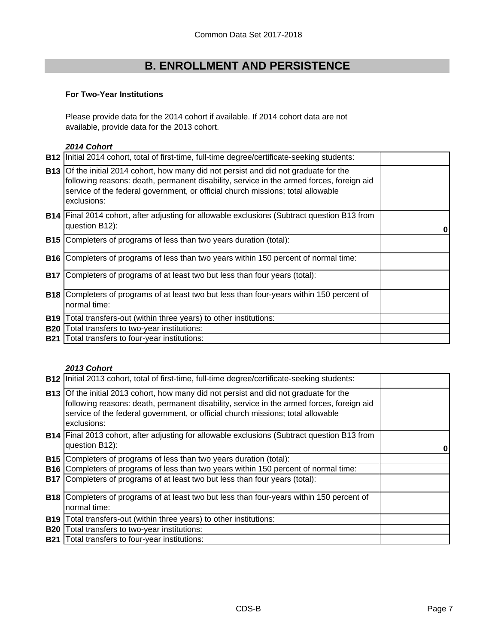#### **For Two-Year Institutions**

Please provide data for the 2014 cohort if available. If 2014 cohort data are not available, provide data for the 2013 cohort.

#### *2014 Cohort*

| <b>B12</b> | Initial 2014 cohort, total of first-time, full-time degree/certificate-seeking students:                                                                                                                                                                                                   |  |
|------------|--------------------------------------------------------------------------------------------------------------------------------------------------------------------------------------------------------------------------------------------------------------------------------------------|--|
|            | <b>B13</b> Of the initial 2014 cohort, how many did not persist and did not graduate for the<br>following reasons: death, permanent disability, service in the armed forces, foreign aid<br>service of the federal government, or official church missions; total allowable<br>exclusions: |  |
|            | <b>B14</b> Final 2014 cohort, after adjusting for allowable exclusions (Subtract question B13 from<br>question B12):                                                                                                                                                                       |  |
|            | B15 Completers of programs of less than two years duration (total):                                                                                                                                                                                                                        |  |
|            | <b>B16</b> Completers of programs of less than two years within 150 percent of normal time:                                                                                                                                                                                                |  |
| <b>B17</b> | Completers of programs of at least two but less than four years (total):                                                                                                                                                                                                                   |  |
|            | <b>B18</b> Completers of programs of at least two but less than four-years within 150 percent of<br>normal time:                                                                                                                                                                           |  |
| <b>B19</b> | Total transfers-out (within three years) to other institutions:                                                                                                                                                                                                                            |  |
| <b>B20</b> | Total transfers to two-year institutions:                                                                                                                                                                                                                                                  |  |
| <b>B21</b> | Total transfers to four-year institutions:                                                                                                                                                                                                                                                 |  |

#### *2013 Cohort*

|            | <b>B12</b> Initial 2013 cohort, total of first-time, full-time degree/certificate-seeking students:                                                                                                                                                                                        |  |
|------------|--------------------------------------------------------------------------------------------------------------------------------------------------------------------------------------------------------------------------------------------------------------------------------------------|--|
|            | <b>B13</b> Of the initial 2013 cohort, how many did not persist and did not graduate for the<br>following reasons: death, permanent disability, service in the armed forces, foreign aid<br>service of the federal government, or official church missions; total allowable<br>exclusions: |  |
|            | <b>B14</b> Final 2013 cohort, after adjusting for allowable exclusions (Subtract question B13 from<br>question B12):                                                                                                                                                                       |  |
| <b>B15</b> | Completers of programs of less than two years duration (total):                                                                                                                                                                                                                            |  |
| <b>B16</b> | Completers of programs of less than two years within 150 percent of normal time:                                                                                                                                                                                                           |  |
| <b>B17</b> | Completers of programs of at least two but less than four years (total):                                                                                                                                                                                                                   |  |
| <b>B18</b> | Completers of programs of at least two but less than four-years within 150 percent of                                                                                                                                                                                                      |  |
|            | normal time:                                                                                                                                                                                                                                                                               |  |
| <b>B19</b> | Total transfers-out (within three years) to other institutions:                                                                                                                                                                                                                            |  |
| <b>B20</b> | Total transfers to two-year institutions:                                                                                                                                                                                                                                                  |  |
| <b>B21</b> | Total transfers to four-year institutions:                                                                                                                                                                                                                                                 |  |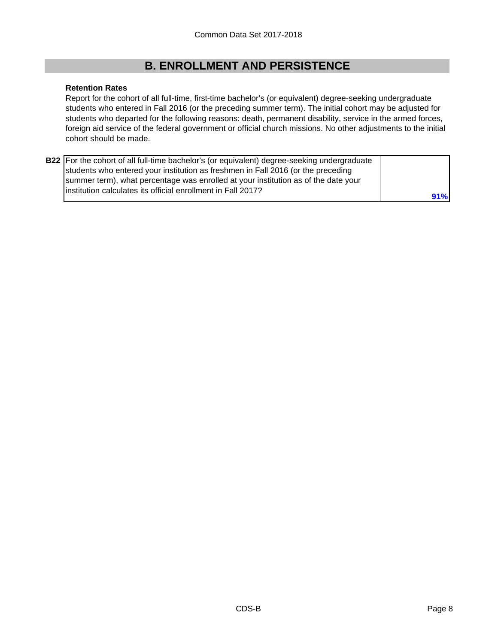#### **Retention Rates**

Report for the cohort of all full-time, first-time bachelor's (or equivalent) degree-seeking undergraduate students who entered in Fall 2016 (or the preceding summer term). The initial cohort may be adjusted for students who departed for the following reasons: death, permanent disability, service in the armed forces, foreign aid service of the federal government or official church missions. No other adjustments to the initial cohort should be made.

| <b>B22</b> For the cohort of all full-time bachelor's (or equivalent) degree-seeking undergraduate |     |
|----------------------------------------------------------------------------------------------------|-----|
| students who entered your institution as freshmen in Fall 2016 (or the preceding                   |     |
| summer term), what percentage was enrolled at your institution as of the date your                 |     |
| linstitution calculates its official enrollment in Fall 2017?                                      | 91% |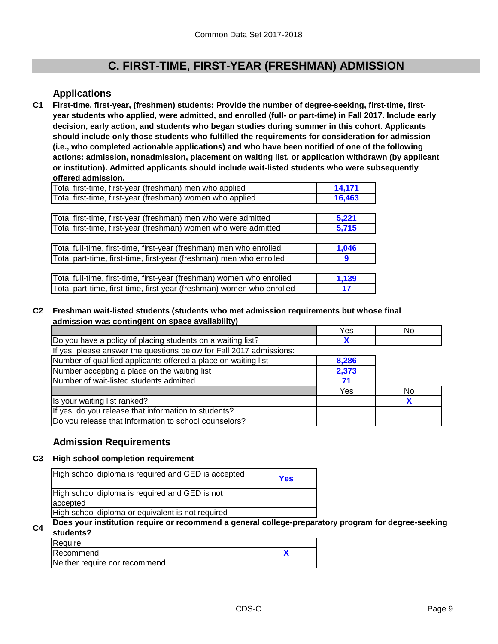### **Applications**

**C1 First-time, first-year, (freshmen) students: Provide the number of degree-seeking, first-time, firstyear students who applied, were admitted, and enrolled (full- or part-time) in Fall 2017. Include early decision, early action, and students who began studies during summer in this cohort. Applicants should include only those students who fulfilled the requirements for consideration for admission (i.e., who completed actionable applications) and who have been notified of one of the following actions: admission, nonadmission, placement on waiting list, or application withdrawn (by applicant or institution). Admitted applicants should include wait-listed students who were subsequently offered admission.**

| Total first-time, first-year (freshman) men who applied               | 14,171 |
|-----------------------------------------------------------------------|--------|
| Total first-time, first-year (freshman) women who applied             | 16,463 |
|                                                                       |        |
| Total first-time, first-year (freshman) men who were admitted         | 5,221  |
| Total first-time, first-year (freshman) women who were admitted       | 5,715  |
|                                                                       |        |
| Total full-time, first-time, first-year (freshman) men who enrolled   | 1,046  |
| Total part-time, first-time, first-year (freshman) men who enrolled   | 9      |
|                                                                       |        |
| Total full-time, first-time, first-year (freshman) women who enrolled | 1,139  |
| Total part-time, first-time, first-year (freshman) women who enrolled | 17     |

#### **C2 Freshman wait-listed students (students who met admission requirements but whose final admission was contingent on space availability)**

|                                                                     | Yes   | No |
|---------------------------------------------------------------------|-------|----|
| Do you have a policy of placing students on a waiting list?         |       |    |
| If yes, please answer the questions below for Fall 2017 admissions: |       |    |
| Number of qualified applicants offered a place on waiting list      | 8,286 |    |
| Number accepting a place on the waiting list                        | 2,373 |    |
| Number of wait-listed students admitted                             | 71    |    |
|                                                                     | Yes   | No |
| Is your waiting list ranked?                                        |       | X  |
| If yes, do you release that information to students?                |       |    |
| Do you release that information to school counselors?               |       |    |

### **Admission Requirements**

#### **C3 High school completion requirement**

| High school diploma is required and GED is accepted        | Yes |
|------------------------------------------------------------|-----|
| High school diploma is required and GED is not<br>accepted |     |
| High school diploma or equivalent is not required          |     |

**C4 Does your institution require or recommend a general college-preparatory program for degree-seeking students?**

| Require                       |  |
|-------------------------------|--|
| <b>IRecommend</b>             |  |
| Neither require nor recommend |  |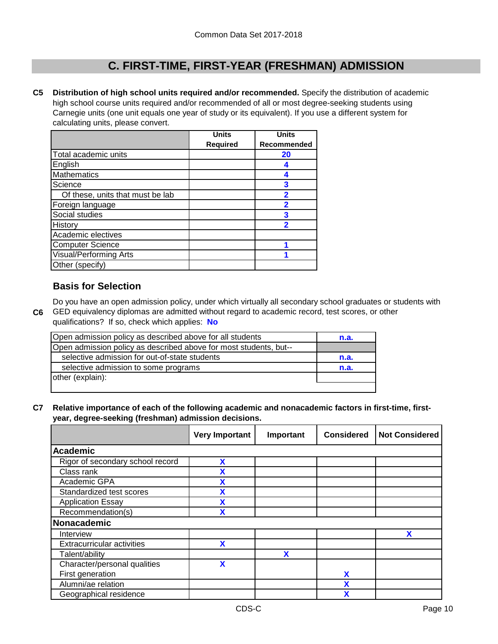**C5 Distribution of high school units required and/or recommended.** Specify the distribution of academic high school course units required and/or recommended of all or most degree-seeking students using Carnegie units (one unit equals one year of study or its equivalent). If you use a different system for calculating units, please convert.

|                                  | <b>Units</b>    | <b>Units</b>            |
|----------------------------------|-----------------|-------------------------|
|                                  | <b>Required</b> | Recommended             |
| Total academic units             |                 | 20                      |
| English                          |                 | 4                       |
| <b>Mathematics</b>               |                 | 4                       |
| Science                          |                 | 3                       |
| Of these, units that must be lab |                 | $\overline{\mathbf{2}}$ |
| Foreign language                 |                 | 2                       |
| Social studies                   |                 | 3                       |
| History                          |                 | 2                       |
| Academic electives               |                 |                         |
| <b>Computer Science</b>          |                 |                         |
| <b>Visual/Performing Arts</b>    |                 |                         |
| Other (specify)                  |                 |                         |

### **Basis for Selection**

**C6** GED equivalency diplomas are admitted without regard to academic record, test scores, or other Do you have an open admission policy, under which virtually all secondary school graduates or students with

qualifications? If so, check which applies: **No**

| Open admission policy as described above for all students         | n.a. |
|-------------------------------------------------------------------|------|
| Open admission policy as described above for most students, but-- |      |
| selective admission for out-of-state students                     | n.a. |
| selective admission to some programs                              | n.a. |
| other (explain):                                                  |      |
|                                                                   |      |

**C7 Relative importance of each of the following academic and nonacademic factors in first-time, firstyear, degree-seeking (freshman) admission decisions.**

|                                   | <b>Very Important</b> | Important | <b>Considered</b> | <b>Not Considered</b> |
|-----------------------------------|-----------------------|-----------|-------------------|-----------------------|
| Academic                          |                       |           |                   |                       |
| Rigor of secondary school record  | X                     |           |                   |                       |
| Class rank                        | χ                     |           |                   |                       |
| Academic GPA                      | χ                     |           |                   |                       |
| Standardized test scores          | χ                     |           |                   |                       |
| <b>Application Essay</b>          | χ                     |           |                   |                       |
| Recommendation(s)                 | χ                     |           |                   |                       |
| Nonacademic                       |                       |           |                   |                       |
| Interview                         |                       |           |                   | X                     |
| <b>Extracurricular activities</b> | X                     |           |                   |                       |
| Talent/ability                    |                       | X         |                   |                       |
| Character/personal qualities      | X                     |           |                   |                       |
| First generation                  |                       |           | X                 |                       |
| Alumni/ae relation                |                       |           | X                 |                       |
| Geographical residence            |                       |           | χ                 |                       |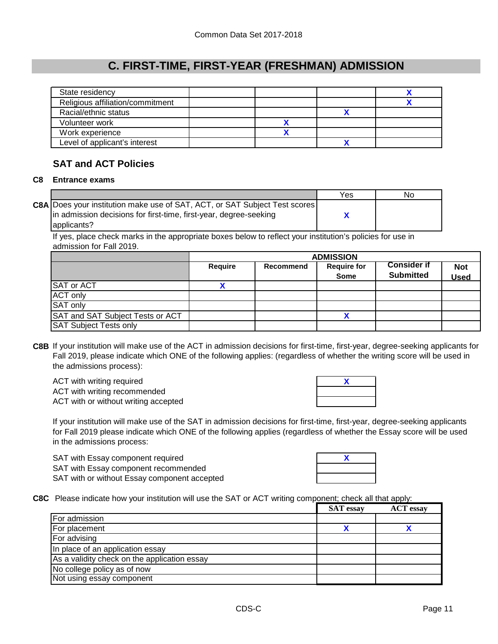| State residency                  |  |  |
|----------------------------------|--|--|
| Religious affiliation/commitment |  |  |
| Racial/ethnic status             |  |  |
| Volunteer work                   |  |  |
| Work experience                  |  |  |
| Level of applicant's interest    |  |  |

### **SAT and ACT Policies**

#### **C8 Entrance exams**

|                                                                                   | Yes | No |
|-----------------------------------------------------------------------------------|-----|----|
| <b>C8A</b> Does your institution make use of SAT, ACT, or SAT Subject Test scores |     |    |
| in admission decisions for first-time, first-year, degree-seeking                 |     |    |
| applicants?                                                                       |     |    |

If yes, place check marks in the appropriate boxes below to reflect your institution's policies for use in admission for Fall 2019.

|                                  | <b>ADMISSION</b> |           |                                   |                                        |                           |
|----------------------------------|------------------|-----------|-----------------------------------|----------------------------------------|---------------------------|
|                                  | Require          | Recommend | <b>Require for</b><br><b>Some</b> | <b>Consider if</b><br><b>Submitted</b> | <b>Not</b><br><b>Used</b> |
| <b>SAT or ACT</b>                |                  |           |                                   |                                        |                           |
| <b>ACT only</b>                  |                  |           |                                   |                                        |                           |
| SAT only                         |                  |           |                                   |                                        |                           |
| SAT and SAT Subject Tests or ACT |                  |           |                                   |                                        |                           |
| <b>SAT Subject Tests only</b>    |                  |           |                                   |                                        |                           |

**C8B** If your institution will make use of the ACT in admission decisions for first-time, first-year, degree-seeking applicants for Fall 2019, please indicate which ONE of the following applies: (regardless of whether the writing score will be used in the admissions process):

ACT with writing required ACT with writing recommended ACT with or without writing accepted



If your institution will make use of the SAT in admission decisions for first-time, first-year, degree-seeking applicants for Fall 2019 please indicate which ONE of the following applies (regardless of whether the Essay score will be used in the admissions process:

SAT with Essay component required SAT with Essay component recommended SAT with or without Essay component accepted



**C8C** Please indicate how your institution will use the SAT or ACT writing component; check all that apply:

|                                              | <b>SAT</b> essay | <b>ACT</b> essay |
|----------------------------------------------|------------------|------------------|
| For admission                                |                  |                  |
| For placement                                |                  |                  |
| For advising                                 |                  |                  |
| In place of an application essay             |                  |                  |
| As a validity check on the application essay |                  |                  |
| No college policy as of now                  |                  |                  |
| Not using essay component                    |                  |                  |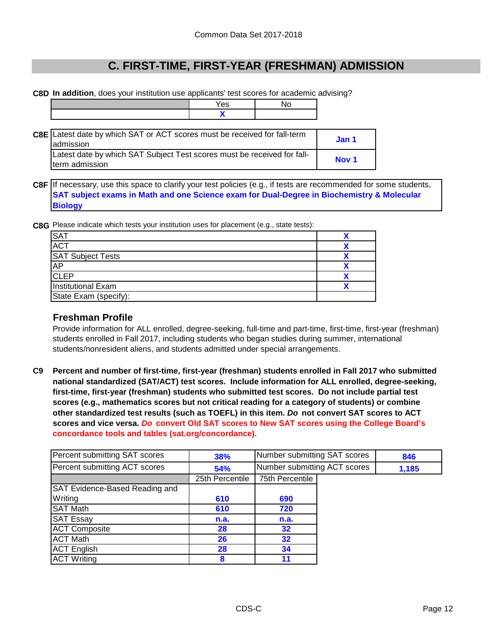**C8D In addition**, does your institution use applicants' test scores for academic advising?

|                                                                                               | Yes | No |                  |
|-----------------------------------------------------------------------------------------------|-----|----|------------------|
|                                                                                               |     |    |                  |
|                                                                                               |     |    |                  |
| <b>C8E</b> Latest date by which SAT or ACT scores must be received for fall-term<br>admission |     |    | Jan 1            |
| Latest date by which SAT Subject Test scores must be received for fall-<br>term admission     |     |    | Nov <sub>1</sub> |

**C8F** If necessary, use this space to clarify your test policies (e.g., if tests are recommended for some students, **SAT subject exams in Math and one Science exam for Dual-Degree in Biochemistry & Molecular Biology**

**C8G** Please indicate which tests your institution uses for placement (e.g., state tests):

| <b>SAT</b>                |  |
|---------------------------|--|
| <b>ACT</b>                |  |
| <b>SAT Subject Tests</b>  |  |
| <b>AP</b>                 |  |
| <b>CLEP</b>               |  |
| <b>Institutional Exam</b> |  |
| State Exam (specify):     |  |

### **Freshman Profile**

Provide information for ALL enrolled, degree-seeking, full-time and part-time, first-time, first-year (freshman) students enrolled in Fall 2017, including students who began studies during summer, international students/nonresident aliens, and students admitted under special arrangements.

**C9 Percent and number of first-time, first-year (freshman) students enrolled in Fall 2017 who submitted national standardized (SAT/ACT) test scores. Include information for ALL enrolled, degree-seeking, first-time, first-year (freshman) students who submitted test scores. Do not include partial test scores (e.g., mathematics scores but not critical reading for a category of students) or combine other standardized test results (such as TOEFL) in this item.** *Do* **not convert SAT scores to ACT scores and vice versa.** *Do* **convert Old SAT scores to New SAT scores using the College Board's concordance tools and tables (sat.org/concordance).**

| Percent submitting SAT scores  | 38%             | Number submitting SAT scores |  | 846   |
|--------------------------------|-----------------|------------------------------|--|-------|
| Percent submitting ACT scores  | 54%             | Number submitting ACT scores |  | 1,185 |
|                                | 25th Percentile | 75th Percentile              |  |       |
| SAT Evidence-Based Reading and |                 |                              |  |       |
| Writing                        | 610             | 690                          |  |       |
| <b>SAT Math</b>                | 610             | 720                          |  |       |
| <b>SAT Essay</b>               | n.a.            | n.a.                         |  |       |
| <b>ACT Composite</b>           | 28              | 32                           |  |       |
| <b>ACT Math</b>                | 26              | 32                           |  |       |
| <b>ACT English</b>             | 28              | 34                           |  |       |
| <b>ACT Writing</b>             | 8               | 11                           |  |       |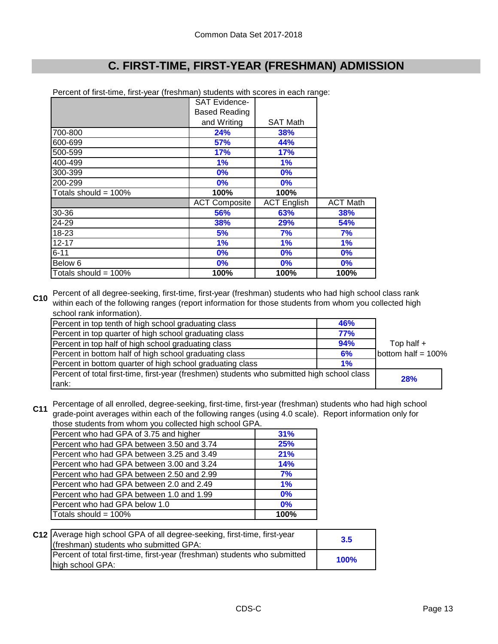|                         | <b>SAT Evidence-</b> |                    |                 |
|-------------------------|----------------------|--------------------|-----------------|
|                         | <b>Based Reading</b> |                    |                 |
|                         | and Writing          | <b>SAT Math</b>    |                 |
| 700-800                 | 24%                  | 38%                |                 |
| 600-699                 | <b>57%</b>           | 44%                |                 |
| 500-599                 | 17%                  | 17%                |                 |
| 400-499                 | 1%                   | 1%                 |                 |
| 300-399                 | $0\%$                | 0%                 |                 |
| 200-299                 | $0\%$                | $0\%$              |                 |
| Totals should = $100\%$ | 100%                 | 100%               |                 |
|                         | <b>ACT Composite</b> | <b>ACT English</b> | <b>ACT Math</b> |
| 30-36                   | 56%                  | 63%                | <b>38%</b>      |
| 24-29                   | <b>38%</b>           | 29%                | <b>54%</b>      |
| 18-23                   | 5%                   | 7%                 | 7%              |
| $12 - 17$               | 1%                   | 1%                 | 1%              |
| $6 - 11$                | 0%                   | 0%                 | 0%              |
| Below 6                 | $0\%$                | $0\%$              | 0%              |
| Totals should = 100%    | 100%                 | 100%               | 100%            |

Percent of first-time, first-year (freshman) students with scores in each range:

**C10** Percent of all degree-seeking, first-time, first-year (freshman) students who had high school class rank within each of the following ranges (report information for those students from whom you collected high school rank information).

| Percent in top tenth of high school graduating class                                        | <b>46%</b> |                       |
|---------------------------------------------------------------------------------------------|------------|-----------------------|
| Percent in top quarter of high school graduating class                                      | 77%        |                       |
| Percent in top half of high school graduating class                                         | 94%        | Top half $+$          |
| Percent in bottom half of high school graduating class                                      | 6%         | bottom half = $100\%$ |
| Percent in bottom quarter of high school graduating class                                   | 1%         |                       |
| Percent of total first-time, first-year (freshmen) students who submitted high school class |            | <b>28%</b>            |
| rank:                                                                                       |            |                       |

**C11** Percentage of all enrolled, degree-seeking, first-time, first-year (freshman) students who had high school **C11** and a neight overage within each of the following repage (wing 4.0 seeks). Penert information only for grade-point averages within each of the following ranges (using 4.0 scale). Report information only for those students from whom you collected high school GPA.

| those students from whom you conected high scribble GPA. |      |  |
|----------------------------------------------------------|------|--|
| Percent who had GPA of 3.75 and higher                   | 31%  |  |
| Percent who had GPA between 3.50 and 3.74                | 25%  |  |
| Percent who had GPA between 3.25 and 3.49                | 21%  |  |
| Percent who had GPA between 3.00 and 3.24                | 14%  |  |
| Percent who had GPA between 2.50 and 2.99                | 7%   |  |
| Percent who had GPA between 2.0 and 2.49                 | 1%   |  |
| Percent who had GPA between 1.0 and 1.99                 | 0%   |  |
| Percent who had GPA below 1.0                            | 0%   |  |
| Totals should = 100%                                     | 100% |  |

| C12 Average high school GPA of all degree-seeking, first-time, first-year<br>(freshman) students who submitted GPA: | 3.5         |
|---------------------------------------------------------------------------------------------------------------------|-------------|
| Percent of total first-time, first-year (freshman) students who submitted<br>high school GPA:                       | <b>100%</b> |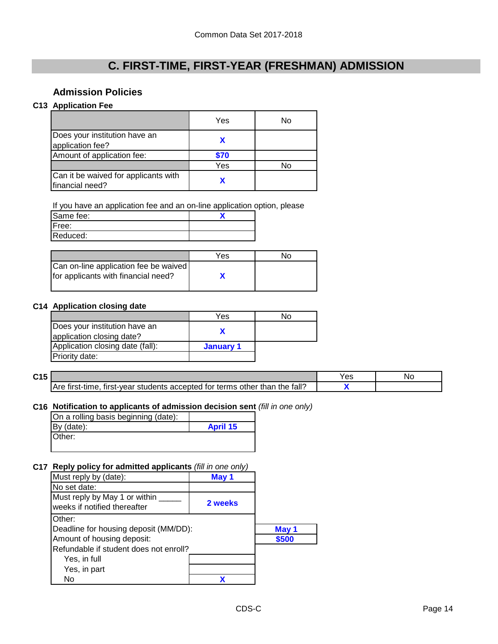### **Admission Policies**

#### **C13 Application Fee**

|                                                         | Yes  | No |
|---------------------------------------------------------|------|----|
| Does your institution have an<br>application fee?       |      |    |
| Amount of application fee:                              | \$70 |    |
|                                                         | Yes  | N٥ |
| Can it be waived for applicants with<br>financial need? |      |    |

If you have an application fee and an on-line application option, please

| Same fee: |  |
|-----------|--|
| IFree:    |  |
| Reduced:  |  |

|                                                                              | Yes | N٥ |
|------------------------------------------------------------------------------|-----|----|
| Can on-line application fee be waived<br>for applicants with financial need? |     |    |

#### **C14 Application closing date**

|                                                            | Yes       | N٥ |
|------------------------------------------------------------|-----------|----|
| Does your institution have an<br>application closing date? |           |    |
| Application closing date (fall):                           | January 1 |    |
| Priority date:                                             |           |    |

**C15** Yes No **X** Are first-time, first-year students accepted for terms other than the fall?

#### **C16 Notification to applicants of admission decision sent** *(fill in one only)*

| On a rolling basis beginning (date): |                 |
|--------------------------------------|-----------------|
| By (date):                           | <b>April 15</b> |
| Other:                               |                 |
|                                      |                 |

#### **C17 Reply policy for admitted applicants** *(fill in one only)*

| Must reply by (date):                                         | May 1   |       |
|---------------------------------------------------------------|---------|-------|
| No set date:                                                  |         |       |
| Must reply by May 1 or within<br>weeks if notified thereafter | 2 weeks |       |
| Other:                                                        |         |       |
| Deadline for housing deposit (MM/DD):                         |         | May 1 |
| Amount of housing deposit:                                    |         | \$500 |
| Refundable if student does not enroll?                        |         |       |
| Yes, in full                                                  |         |       |
| Yes, in part                                                  |         |       |
| No                                                            |         |       |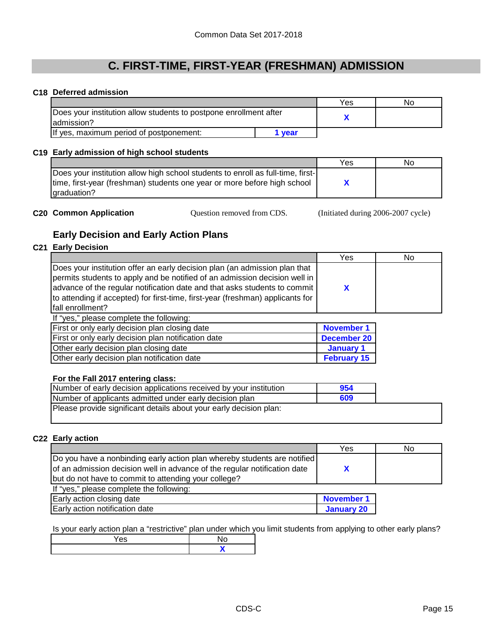#### **C18 Deferred admission**

|                                                                                  |        | Yes | No |
|----------------------------------------------------------------------------------|--------|-----|----|
| Does your institution allow students to postpone enrollment after<br>ladmission? |        |     |    |
| If yes, maximum period of postponement:                                          | l vear |     |    |

#### **C19 Early admission of high school students**

|                                                                                 | Yes | No |
|---------------------------------------------------------------------------------|-----|----|
| Does your institution allow high school students to enroll as full-time, first- |     |    |
| time, first-year (freshman) students one year or more before high school        |     |    |
| lgraduation?                                                                    |     |    |

**C20 Common Application Question removed from CDS.** (Initiated during 2006-2007 cycle) Question removed from CDS.

### **Early Decision and Early Action Plans**

### **C21 Early Decision**

|                                                                                | Yes | No |
|--------------------------------------------------------------------------------|-----|----|
| Does your institution offer an early decision plan (an admission plan that     |     |    |
| permits students to apply and be notified of an admission decision well in     |     |    |
| advance of the regular notification date and that asks students to commit      |     |    |
| to attending if accepted) for first-time, first-year (freshman) applicants for |     |    |
| Ifall enrollment?                                                              |     |    |
| If "yes," please complete the following:                                       |     |    |

| <b>If you, please complete the following.</b>       |                    |
|-----------------------------------------------------|--------------------|
| First or only early decision plan closing date      | <b>November 1</b>  |
| First or only early decision plan notification date | <b>December 20</b> |
| Other early decision plan closing date              | January 1          |
| Other early decision plan notification date         | <b>February 15</b> |

#### **For the Fall 2017 entering class:**

| Number of early decision applications received by your institution | 954 |  |
|--------------------------------------------------------------------|-----|--|
| Number of applicants admitted under early decision plan            | 609 |  |
| Please provide significant details about your early decision plan: |     |  |

#### **C22 Early action**

|                                                                           | Yes               | No |
|---------------------------------------------------------------------------|-------------------|----|
| Do you have a nonbinding early action plan whereby students are notified  |                   |    |
| of an admission decision well in advance of the regular notification date |                   |    |
| but do not have to commit to attending your college?                      |                   |    |
| If "yes," please complete the following:                                  |                   |    |
| Early action closing date                                                 | <b>November 1</b> |    |
| Early action notification date                                            | <b>January 20</b> |    |

Is your early action plan a "restrictive" plan under which you limit students from applying to other early plans?

| $\sim$ |  |
|--------|--|
|        |  |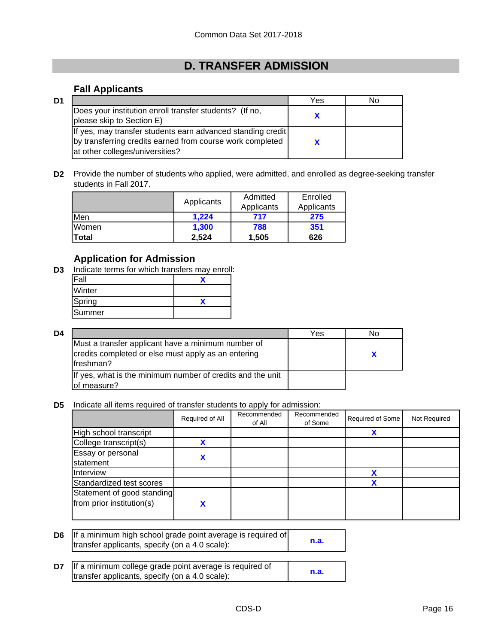# **D. TRANSFER ADMISSION**

### **Fall Applicants**

| D <sub>1</sub> |                                                                                                                                                             | Yes | No |
|----------------|-------------------------------------------------------------------------------------------------------------------------------------------------------------|-----|----|
|                | Does your institution enroll transfer students? (If no,<br>please skip to Section E)                                                                        |     |    |
|                | If yes, may transfer students earn advanced standing credit<br>by transferring credits earned from course work completed<br>at other colleges/universities? |     |    |

**D2** Provide the number of students who applied, were admitted, and enrolled as degree-seeking transfer students in Fall 2017.

|       | Applicants | Admitted   | Enrolled   |
|-------|------------|------------|------------|
|       |            | Applicants | Applicants |
| Men   | 1.224      | 717        | 275        |
| Women | 1.300      | 788        | 351        |
| Total | 2,524      | 1,505      | 626        |

### **Application for Admission**

**D3** Indicate terms for which transfers may enroll:

| Fall   |  |
|--------|--|
| Winter |  |
| Spring |  |
| Summer |  |

| D4 |                                                                                                                         | Yes | Nο |
|----|-------------------------------------------------------------------------------------------------------------------------|-----|----|
|    | Must a transfer applicant have a minimum number of<br>credits completed or else must apply as an entering<br>lfreshman? |     |    |
|    | If yes, what is the minimum number of credits and the unit<br>of measure?                                               |     |    |

**D5** Indicate all items required of transfer students to apply for admission:

|                                                         | Required of All | Recommended<br>of All | Recommended<br>of Some | Required of Some | Not Required |
|---------------------------------------------------------|-----------------|-----------------------|------------------------|------------------|--------------|
| High school transcript                                  |                 |                       |                        | х                |              |
| College transcript(s)                                   |                 |                       |                        |                  |              |
| Essay or personal<br>statement                          |                 |                       |                        |                  |              |
| Interview                                               |                 |                       |                        |                  |              |
| Standardized test scores                                |                 |                       |                        | χ                |              |
| Statement of good standing<br>from prior institution(s) |                 |                       |                        |                  |              |

- **D6 n.a.** If a minimum high school grade point average is required of transfer applicants, specify (on a 4.0 scale):
- **D7 If a minimum college grade point average is required of n.a.**<br>**International property (eq. c.4.0 seeks)** transfer applicants, specify (on a 4.0 scale):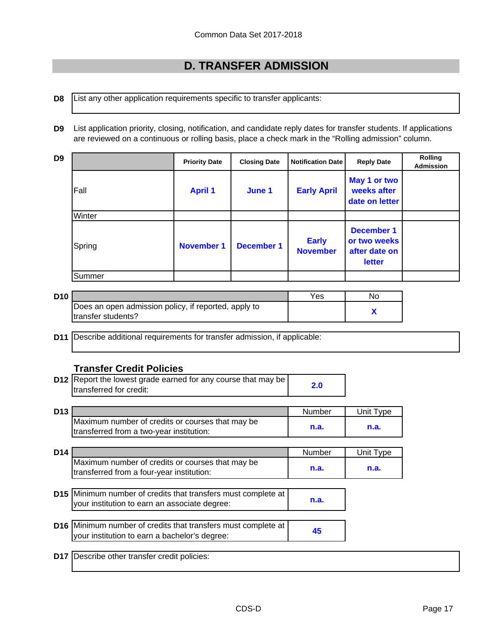# **D. TRANSFER ADMISSION**

**D8** List any other application requirements specific to transfer applicants:

**D9** List application priority, closing, notification, and candidate reply dates for transfer students. If applications are reviewed on a continuous or rolling basis, place a check mark in the "Rolling admission" column.

| D9 |        | <b>Priority Date</b> | <b>Closing Date</b> | <b>Notification Date</b>        | <b>Reply Date</b>                                                   | <b>Rolling</b><br><b>Admission</b> |
|----|--------|----------------------|---------------------|---------------------------------|---------------------------------------------------------------------|------------------------------------|
|    | Fall   | <b>April 1</b>       | June 1              | <b>Early April</b>              | May 1 or two<br>weeks after<br>date on letter                       |                                    |
|    | Winter |                      |                     |                                 |                                                                     |                                    |
|    | Spring | <b>November 1</b>    | <b>December 1</b>   | <b>Early</b><br><b>November</b> | <b>December 1</b><br>or two weeks<br>after date on<br><b>letter</b> |                                    |
|    | Summer |                      |                     |                                 |                                                                     |                                    |

| D <sub>10</sub> |                                                      | Yes | N٥ |
|-----------------|------------------------------------------------------|-----|----|
|                 | Does an open admission policy, if reported, apply to |     |    |
|                 | Itransfer students?                                  |     |    |

**D11** Describe additional requirements for transfer admission, if applicable:

#### **Transfer Credit Policies**

| <b>D12</b> Report the lowest grade earned for any course that may be |     |
|----------------------------------------------------------------------|-----|
| transferred for credit:                                              | 2.0 |

| D13 |                                                  | Number | Unit Tvpe |
|-----|--------------------------------------------------|--------|-----------|
|     | Maximum number of credits or courses that may be |        |           |
|     | transferred from a two-year institution:         | n.a.   | n.a.      |

| D <sub>14</sub> |                                                                                               | Number | Unit Type |
|-----------------|-----------------------------------------------------------------------------------------------|--------|-----------|
|                 | Maximum number of credits or courses that may be<br>transferred from a four-year institution: | n.a.   | n.a.      |

- **D15** Minimum number of credits that transfers must complete at **n.a.** your institution to earn an associate degree:
- **D16** Minimum number of credits that transfers must complete at <br> **45** your institution to earn a bachelor's degree:

**D17** Describe other transfer credit policies: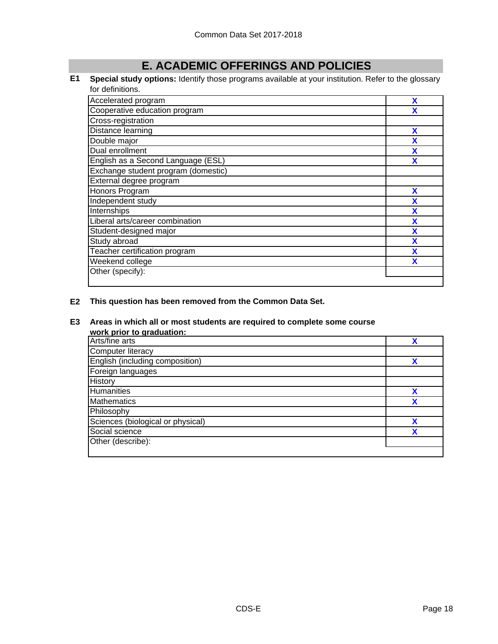# **E. ACADEMIC OFFERINGS AND POLICIES**

#### **E1 Special study options:** Identify those programs available at your institution. Refer to the glossary for definitions.

| Accelerated program                 | X |
|-------------------------------------|---|
| Cooperative education program       |   |
| Cross-registration                  |   |
| Distance learning                   | X |
| Double major                        | χ |
| Dual enrollment                     | X |
| English as a Second Language (ESL)  | χ |
| Exchange student program (domestic) |   |
| External degree program             |   |
| Honors Program                      | X |
| Independent study                   | X |
| Internships                         | X |
| Liberal arts/career combination     | X |
| Student-designed major              | X |
| Study abroad                        | X |
| Teacher certification program       | X |
| Weekend college                     | X |
| Other (specify):                    |   |
|                                     |   |

#### **E2 This question has been removed from the Common Data Set.**

#### **E3 Areas in which all or most students are required to complete some course**

| work prior to graduation:         |   |
|-----------------------------------|---|
| Arts/fine arts                    |   |
| Computer literacy                 |   |
| English (including composition)   |   |
| Foreign languages                 |   |
| <b>History</b>                    |   |
| <b>Humanities</b>                 | x |
| <b>Mathematics</b>                | X |
| Philosophy                        |   |
| Sciences (biological or physical) | χ |
| Social science                    | χ |
| Other (describe):                 |   |
|                                   |   |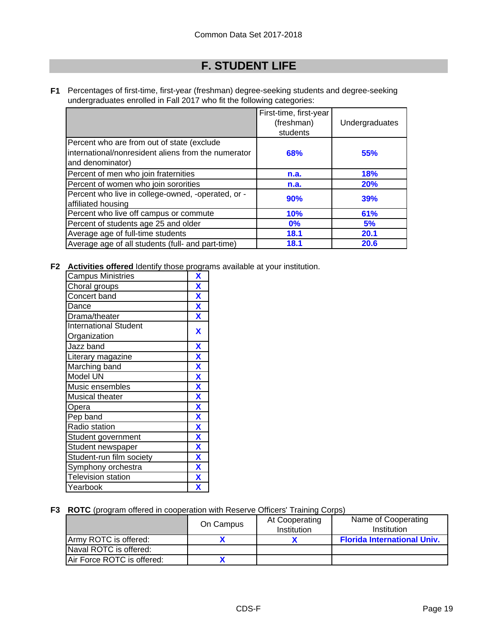# **F. STUDENT LIFE**

**F1** Percentages of first-time, first-year (freshman) degree-seeking students and degree-seeking undergraduates enrolled in Fall 2017 who fit the following categories:

|                                                                                                                       | First-time, first-year<br>(freshman)<br>students | Undergraduates |
|-----------------------------------------------------------------------------------------------------------------------|--------------------------------------------------|----------------|
| Percent who are from out of state (exclude<br>international/nonresident aliens from the numerator<br>and denominator) | 68%                                              | 55%            |
| Percent of men who join fraternities                                                                                  | n.a.                                             | 18%            |
| Percent of women who join sororities                                                                                  | n.a.                                             | <b>20%</b>     |
| Percent who live in college-owned, -operated, or -<br>affiliated housing                                              | 90%                                              | 39%            |
| Percent who live off campus or commute                                                                                | 10%                                              | 61%            |
| Percent of students age 25 and older                                                                                  | 0%                                               | 5%             |
| Average age of full-time students                                                                                     | 18.1                                             | 20.1           |
| Average age of all students (full- and part-time)                                                                     | <b>18.1</b>                                      | 20.6           |

**F2 Activities offered** Identify those programs available at your institution.

| <b>Campus Ministries</b>     | X                         |
|------------------------------|---------------------------|
| Choral groups                | X                         |
| Concert band                 | X                         |
| Dance                        | $\boldsymbol{\mathsf{X}}$ |
| Drama/theater                | X                         |
| <b>International Student</b> | X                         |
| Organization                 |                           |
| Jazz band                    | X                         |
| Literary magazine            | $\boldsymbol{\mathsf{X}}$ |
| Marching band                | $\overline{\mathbf{X}}$   |
| Model UN                     | $\overline{\mathbf{X}}$   |
| Music ensembles              | $\overline{\mathbf{X}}$   |
| <b>Musical theater</b>       | $\mathbf x$               |
| Opera                        | $\overline{\mathbf{X}}$   |
| Pep band                     | X                         |
| Radio station                | $\overline{\mathbf{X}}$   |
| Student government           | $\overline{\mathbf{X}}$   |
| Student newspaper            | $\mathbf x$               |
| Student-run film society     | $\overline{\mathbf{X}}$   |
| Symphony orchestra           | $\overline{\mathbf{X}}$   |
| <b>Television station</b>    | $\overline{\mathbf{X}}$   |
| Yearbook                     | X                         |
|                              |                           |

**F3 ROTC** (program offered in cooperation with Reserve Officers' Training Corps)

|                            | On Campus | At Cooperating<br>Institution | Name of Cooperating<br>Institution |
|----------------------------|-----------|-------------------------------|------------------------------------|
| Army ROTC is offered:      |           |                               | <b>Florida International Univ.</b> |
| Naval ROTC is offered:     |           |                               |                                    |
| Air Force ROTC is offered: |           |                               |                                    |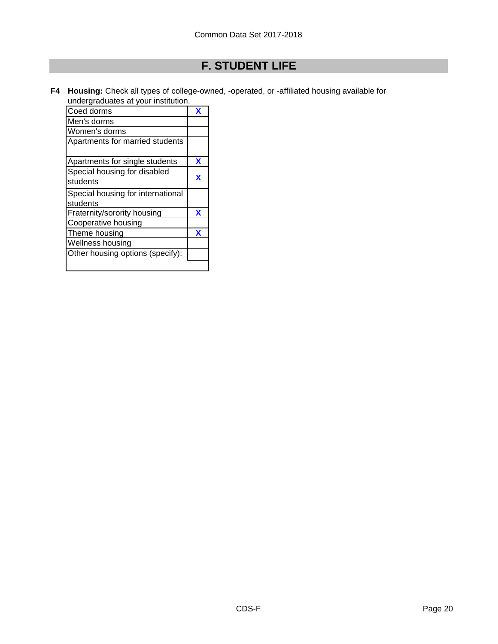# **F. STUDENT LIFE**

**F4 Housing:** Check all types of college-owned, -operated, or -affiliated housing available for undergraduates at your institution.

| Coed dorms                                    | x |
|-----------------------------------------------|---|
| Men's dorms                                   |   |
| Women's dorms                                 |   |
| Apartments for married students               |   |
| Apartments for single students                | x |
| Special housing for disabled<br>students      | x |
| Special housing for international<br>students |   |
| Fraternity/sorority housing                   | x |
| Cooperative housing                           |   |
| Theme housing                                 | x |
| Wellness housing                              |   |
| Other housing options (specify):              |   |
|                                               |   |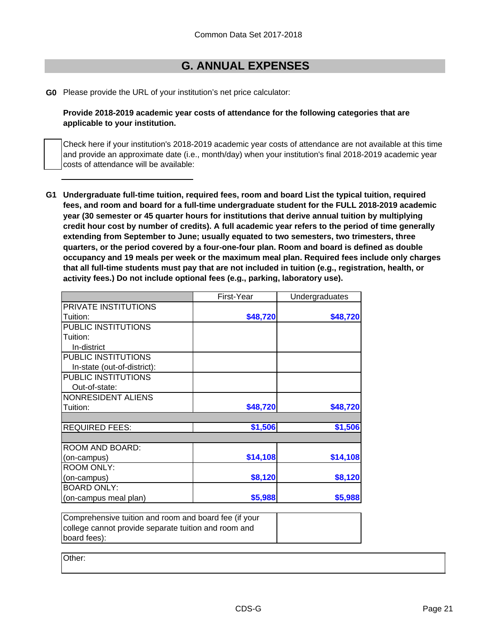### **G. ANNUAL EXPENSES**

**G0** Please provide the URL of your institution's net price calculator:

**Provide 2018-2019 academic year costs of attendance for the following categories that are applicable to your institution.**

Check here if your institution's 2018-2019 academic year costs of attendance are not available at this time and provide an approximate date (i.e., month/day) when your institution's final 2018-2019 academic year costs of attendance will be available:

**G1 Undergraduate full-time tuition, required fees, room and board List the typical tuition, required fees, and room and board for a full-time undergraduate student for the FULL 2018-2019 academic year (30 semester or 45 quarter hours for institutions that derive annual tuition by multiplying credit hour cost by number of credits). A full academic year refers to the period of time generally extending from September to June; usually equated to two semesters, two trimesters, three quarters, or the period covered by a four-one-four plan. Room and board is defined as double occupancy and 19 meals per week or the maximum meal plan. Required fees include only charges that all full-time students must pay that are not included in tuition (e.g., registration, health, or activity fees.) Do not include optional fees (e.g., parking, laboratory use).**

|                             | First-Year | Undergraduates |
|-----------------------------|------------|----------------|
| PRIVATE INSTITUTIONS        |            |                |
| Tuition:                    | \$48,720   | \$48,720       |
| PUBLIC INSTITUTIONS         |            |                |
| Tuition:                    |            |                |
| In-district                 |            |                |
| PUBLIC INSTITUTIONS         |            |                |
| In-state (out-of-district): |            |                |
| PUBLIC INSTITUTIONS         |            |                |
| Out-of-state:               |            |                |
| NONRESIDENT ALIENS          |            |                |
| Tuition:                    | \$48,720   | \$48,720       |
| <b>REQUIRED FEES:</b>       | \$1,506    | \$1,506        |
|                             |            |                |
| ROOM AND BOARD:             |            |                |
| (on-campus)                 | \$14,108   | \$14,108       |
| <b>ROOM ONLY:</b>           |            |                |
| (on-campus)                 | \$8,120    | \$8,120        |
| <b>BOARD ONLY:</b>          |            |                |
| (on-campus meal plan)       | \$5,988    | \$5,988        |

| Comprehensive tuition and room and board fee (if your |  |
|-------------------------------------------------------|--|
| college cannot provide separate tuition and room and  |  |
| board fees):                                          |  |

Other: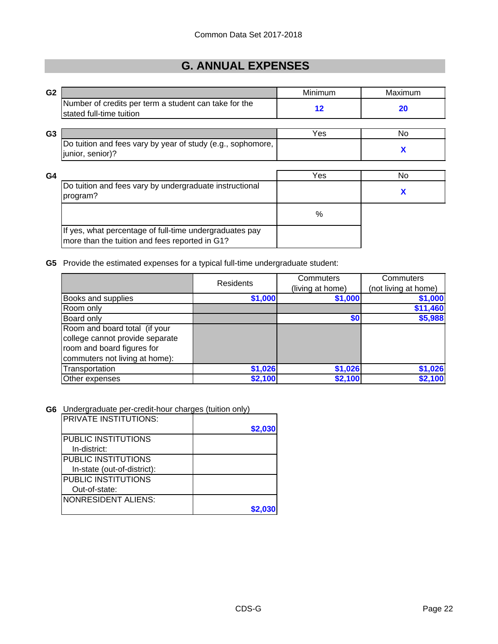# **G. ANNUAL EXPENSES**

| G <sub>2</sub> |                                                                                                           | Minimum           | Maximum |
|----------------|-----------------------------------------------------------------------------------------------------------|-------------------|---------|
|                | Number of credits per term a student can take for the<br>stated full-time tuition                         | $12 \ \mathsf{ }$ | 20      |
|                |                                                                                                           |                   |         |
| G <sub>3</sub> |                                                                                                           | Yes               | No      |
|                | Do tuition and fees vary by year of study (e.g., sophomore,<br>junior, senior)?                           |                   | X       |
|                |                                                                                                           |                   |         |
| G4             |                                                                                                           | Yes               | No      |
|                | Do tuition and fees vary by undergraduate instructional<br>program?                                       |                   | X       |
|                |                                                                                                           | $\%$              |         |
|                | If yes, what percentage of full-time undergraduates pay<br>more than the tuition and fees reported in G1? |                   |         |

#### **G5** Provide the estimated expenses for a typical full-time undergraduate student:

|                                 | Residents | Commuters        | Commuters<br>(not living at home) |  |
|---------------------------------|-----------|------------------|-----------------------------------|--|
|                                 |           | (living at home) |                                   |  |
| Books and supplies              | \$1,000   | \$1,000          | \$1,000                           |  |
| Room only                       |           |                  | \$11,460                          |  |
| Board only                      |           | \$0              | \$5,988                           |  |
| Room and board total (if your   |           |                  |                                   |  |
| college cannot provide separate |           |                  |                                   |  |
| room and board figures for      |           |                  |                                   |  |
| commuters not living at home):  |           |                  |                                   |  |
| Transportation                  | \$1,026   | \$1,026          | \$1,026                           |  |
| Other expenses                  | \$2,100   | \$2,100          | \$2,100                           |  |

#### **G6** Undergraduate per-credit-hour charges (tuition only)

| <b>PRIVATE INSTITUTIONS:</b> |         |
|------------------------------|---------|
|                              | \$2,030 |
| PUBLIC INSTITUTIONS          |         |
| In-district:                 |         |
| <b>PUBLIC INSTITUTIONS</b>   |         |
| In-state (out-of-district):  |         |
| PUBLIC INSTITUTIONS          |         |
| Out-of-state:                |         |
| <b>NONRESIDENT ALIENS:</b>   |         |
|                              |         |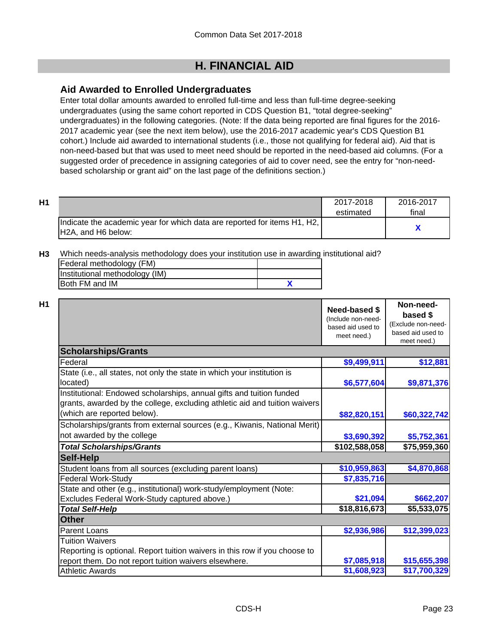### **Aid Awarded to Enrolled Undergraduates**

Enter total dollar amounts awarded to enrolled full-time and less than full-time degree-seeking undergraduates (using the same cohort reported in CDS Question B1, "total degree-seeking" undergraduates) in the following categories. (Note: If the data being reported are final figures for the 2016- 2017 academic year (see the next item below), use the 2016-2017 academic year's CDS Question B1 cohort.) Include aid awarded to international students (i.e., those not qualifying for federal aid). Aid that is non-need-based but that was used to meet need should be reported in the need-based aid columns. (For a suggested order of precedence in assigning categories of aid to cover need, see the entry for "non-needbased scholarship or grant aid" on the last page of the definitions section.)

| H1 |                                                                          | 2017-2018 | 2016-2017 |
|----|--------------------------------------------------------------------------|-----------|-----------|
|    |                                                                          | estimated | final     |
|    | Indicate the academic year for which data are reported for items H1, H2, |           |           |
|    | H2A, and H6 below:                                                       |           |           |

**H3** Which needs-analysis methodology does your institution use in awarding institutional aid?

| Federal methodology (FM)       |  |
|--------------------------------|--|
| Institutional methodology (IM) |  |
| Both FM and IM                 |  |

|                                                                                                                                                                                   | Need-based \$<br>(Include non-need-<br>based aid used to<br>meet need.) | Non-need-<br>based \$<br>(Exclude non-need-<br>based aid used to<br>meet need.) |  |  |
|-----------------------------------------------------------------------------------------------------------------------------------------------------------------------------------|-------------------------------------------------------------------------|---------------------------------------------------------------------------------|--|--|
| <b>Scholarships/Grants</b>                                                                                                                                                        |                                                                         |                                                                                 |  |  |
| Federal                                                                                                                                                                           | \$9,499,911                                                             | \$12,881                                                                        |  |  |
| State (i.e., all states, not only the state in which your institution is<br>located)                                                                                              | \$6,577,604                                                             | \$9,871,376                                                                     |  |  |
| Institutional: Endowed scholarships, annual gifts and tuition funded<br>grants, awarded by the college, excluding athletic aid and tuition waivers<br>(which are reported below). | \$82,820,151                                                            | \$60,322,742                                                                    |  |  |
| Scholarships/grants from external sources (e.g., Kiwanis, National Merit)<br>not awarded by the college                                                                           | \$3,690,392                                                             | \$5,752,361                                                                     |  |  |
| <b>Total Scholarships/Grants</b>                                                                                                                                                  | \$102,588,058                                                           | \$75,959,360                                                                    |  |  |
| <b>Self-Help</b>                                                                                                                                                                  |                                                                         |                                                                                 |  |  |
| Student loans from all sources (excluding parent loans)                                                                                                                           | \$10,959,863                                                            | \$4,870,868                                                                     |  |  |
| <b>Federal Work-Study</b>                                                                                                                                                         | \$7,835,716                                                             |                                                                                 |  |  |
| State and other (e.g., institutional) work-study/employment (Note:                                                                                                                |                                                                         |                                                                                 |  |  |
| Excludes Federal Work-Study captured above.)                                                                                                                                      | \$21,094                                                                | \$662,207                                                                       |  |  |
| <b>Total Self-Help</b>                                                                                                                                                            | \$18,816,673                                                            | \$5,533,075                                                                     |  |  |
| <b>Other</b>                                                                                                                                                                      |                                                                         |                                                                                 |  |  |
| Parent Loans                                                                                                                                                                      | \$2,936,986                                                             | \$12,399,023                                                                    |  |  |
| <b>Tuition Waivers</b><br>Reporting is optional. Report tuition waivers in this row if you choose to                                                                              |                                                                         |                                                                                 |  |  |
| report them. Do not report tuition waivers elsewhere.                                                                                                                             | \$7,085,918                                                             | \$15,655,398                                                                    |  |  |
| <b>Athletic Awards</b>                                                                                                                                                            | \$1,608,923                                                             | \$17,700,329                                                                    |  |  |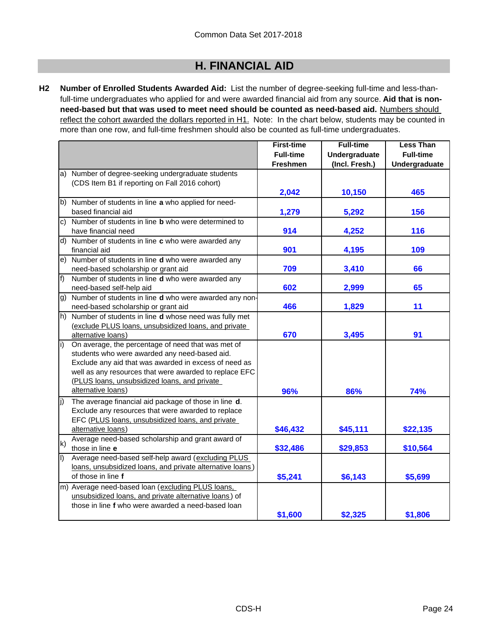**H2 Number of Enrolled Students Awarded Aid:** List the number of degree-seeking full-time and less-thanfull-time undergraduates who applied for and were awarded financial aid from any source. **Aid that is nonneed-based but that was used to meet need should be counted as need-based aid.** Numbers should reflect the cohort awarded the dollars reported in H1. Note: In the chart below, students may be counted in more than one row, and full-time freshmen should also be counted as full-time undergraduates.

|         |                                                              | <b>First-time</b> | <b>Full-time</b>     | <b>Less Than</b> |
|---------|--------------------------------------------------------------|-------------------|----------------------|------------------|
|         |                                                              | <b>Full-time</b>  | <b>Undergraduate</b> | <b>Full-time</b> |
|         |                                                              | <b>Freshmen</b>   | (Incl. Fresh.)       | Undergraduate    |
| a)      | Number of degree-seeking undergraduate students              |                   |                      |                  |
|         | (CDS Item B1 if reporting on Fall 2016 cohort)               |                   |                      |                  |
|         |                                                              | 2,042             | 10,150               | 465              |
|         | b) Number of students in line a who applied for need-        |                   |                      |                  |
|         | based financial aid                                          | 1,279             | 5,292                | 156              |
| c)      | Number of students in line <b>b</b> who were determined to   |                   |                      |                  |
|         | have financial need                                          | 914               | 4,252                | 116              |
| d)      | Number of students in line c who were awarded any            |                   |                      |                  |
|         | financial aid                                                | 901               | 4,195                | 109              |
| e).     | Number of students in line d who were awarded any            |                   |                      |                  |
|         | need-based scholarship or grant aid                          | 709               | 3,410                | 66               |
| f)      | Number of students in line d who were awarded any            |                   |                      |                  |
|         | need-based self-help aid                                     | 602               | 2,999                | 65               |
| g)      | Number of students in line d who were awarded any non-       |                   |                      |                  |
|         | need-based scholarship or grant aid                          | 466               | 1,829                | 11               |
| h)      | Number of students in line <b>d</b> whose need was fully met |                   |                      |                  |
|         | (exclude PLUS loans, unsubsidized loans, and private         |                   |                      |                  |
|         | alternative loans)                                           | 670               | 3,495                | 91               |
| i)      | On average, the percentage of need that was met of           |                   |                      |                  |
|         | students who were awarded any need-based aid.                |                   |                      |                  |
|         | Exclude any aid that was awarded in excess of need as        |                   |                      |                  |
|         | well as any resources that were awarded to replace EFC       |                   |                      |                  |
|         | (PLUS loans, unsubsidized loans, and private                 |                   |                      |                  |
|         | alternative loans)                                           | 96%               | 86%                  | 74%              |
| j)      | The average financial aid package of those in line d.        |                   |                      |                  |
|         | Exclude any resources that were awarded to replace           |                   |                      |                  |
|         | EFC (PLUS loans, unsubsidized loans, and private             |                   |                      |                  |
|         | alternative loans)                                           | \$46,432          | \$45,111             | \$22,135         |
| k)      | Average need-based scholarship and grant award of            |                   |                      |                  |
|         | those in line e                                              | \$32,486          | \$29,853             | \$10,564         |
| $\vert$ | Average need-based self-help award (excluding PLUS           |                   |                      |                  |
|         | loans, unsubsidized loans, and private alternative loans)    |                   |                      |                  |
|         | of those in line f                                           | \$5,241           | \$6,143              | \$5,699          |
|         | m) Average need-based loan (excluding PLUS loans,            |                   |                      |                  |
|         | unsubsidized loans, and private alternative loans) of        |                   |                      |                  |
|         | those in line f who were awarded a need-based loan           |                   |                      |                  |
|         |                                                              | \$1,600           | \$2,325              | \$1,806          |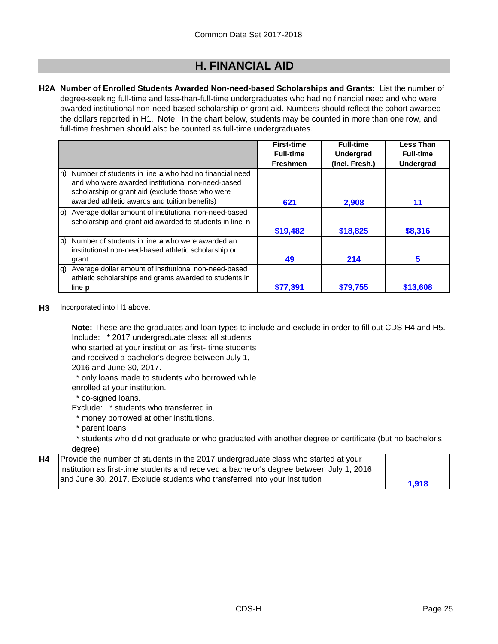**H2A Number of Enrolled Students Awarded Non-need-based Scholarships and Grants**: List the number of degree-seeking full-time and less-than-full-time undergraduates who had no financial need and who were awarded institutional non-need-based scholarship or grant aid. Numbers should reflect the cohort awarded the dollars reported in H1. Note: In the chart below, students may be counted in more than one row, and full-time freshmen should also be counted as full-time undergraduates.

|                                                                                                                                                                        | <b>First-time</b> | <b>Full-time</b> | <b>Less Than</b> |
|------------------------------------------------------------------------------------------------------------------------------------------------------------------------|-------------------|------------------|------------------|
|                                                                                                                                                                        | <b>Full-time</b>  | Undergrad        | <b>Full-time</b> |
|                                                                                                                                                                        | <b>Freshmen</b>   | (Incl. Fresh.)   | <b>Undergrad</b> |
| Number of students in line a who had no financial need<br>In)<br>and who were awarded institutional non-need-based<br>scholarship or grant aid (exclude those who were |                   |                  |                  |
| awarded athletic awards and tuition benefits)                                                                                                                          | 621               | 2,908            | 11               |
| Average dollar amount of institutional non-need-based<br><b>IO)</b><br>scholarship and grant aid awarded to students in line n                                         |                   |                  |                  |
|                                                                                                                                                                        | \$19,482          | \$18,825         | \$8,316          |
| Number of students in line a who were awarded an<br>lp)<br>institutional non-need-based athletic scholarship or<br>grant                                               | 49                | 214              | 5                |
|                                                                                                                                                                        |                   |                  |                  |
| Average dollar amount of institutional non-need-based<br>la)<br>athletic scholarships and grants awarded to students in                                                |                   |                  |                  |
| line <b>p</b>                                                                                                                                                          | \$77,391          | \$79,755         | \$13,608         |

**H3** Incorporated into H1 above.

Include: \* 2017 undergraduate class: all students **Note:** These are the graduates and loan types to include and exclude in order to fill out CDS H4 and H5.

who started at your institution as first- time students

and received a bachelor's degree between July 1,

2016 and June 30, 2017.

\* only loans made to students who borrowed while

enrolled at your institution.

\* co-signed loans.

Exclude: \* students who transferred in.

- \* money borrowed at other institutions.
- \* parent loans

 \* students who did not graduate or who graduated with another degree or certificate (but no bachelor's degree)

| <b>H4</b> Provide the number of students in the 2017 undergraduate class who started at your |       |
|----------------------------------------------------------------------------------------------|-------|
| institution as first-time students and received a bachelor's degree between July 1, 2016     |       |
| and June 30, 2017. Exclude students who transferred into your institution                    | 1,918 |
|                                                                                              |       |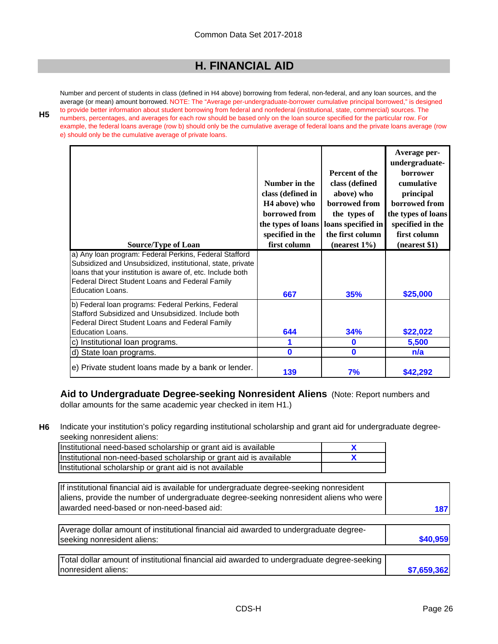Number and percent of students in class (defined in H4 above) borrowing from federal, non-federal, and any loan sources, and the average (or mean) amount borrowed. NOTE: The "Average per-undergraduate-borrower cumulative principal borrowed," is designed to provide better information about student borrowing from federal and nonfederal (institutional, state, commercial) sources. The numbers, percentages, and averages for each row should be based only on the loan source specified for the particular row. For example, the federal loans average (row b) should only be the cumulative average of federal loans and the private loans average (row e) should only be the cumulative average of private loans.

**H5**

| <b>Source/Type of Loan</b>                                                                                                                                                                                                            | Number in the<br>class (defined in<br>H <sub>4</sub> above) who<br>borrowed from<br>the types of loans<br>specified in the<br>first column | Percent of the<br>class (defined<br>above) who<br>borrowed from<br>the types of<br>loans specified in<br>the first column<br>$(nearest 1\%)$ | Average per-<br>undergraduate-<br><b>borrower</b><br>cumulative<br>principal<br>borrowed from<br>the types of loans<br>specified in the<br>first column<br>(nearest \$1) |
|---------------------------------------------------------------------------------------------------------------------------------------------------------------------------------------------------------------------------------------|--------------------------------------------------------------------------------------------------------------------------------------------|----------------------------------------------------------------------------------------------------------------------------------------------|--------------------------------------------------------------------------------------------------------------------------------------------------------------------------|
| a) Any Ioan program: Federal Perkins, Federal Stafford<br>Subsidized and Unsubsidized, institutional, state, private<br>loans that your institution is aware of, etc. Include both<br>Federal Direct Student Loans and Federal Family |                                                                                                                                            |                                                                                                                                              |                                                                                                                                                                          |
| <b>Education Loans.</b>                                                                                                                                                                                                               | 667                                                                                                                                        | 35%                                                                                                                                          | \$25,000                                                                                                                                                                 |
| b) Federal loan programs: Federal Perkins, Federal<br>Stafford Subsidized and Unsubsidized. Include both<br>Federal Direct Student Loans and Federal Family<br>Education Loans.                                                       | 644                                                                                                                                        | 34%                                                                                                                                          | \$22,022                                                                                                                                                                 |
| c) Institutional loan programs.                                                                                                                                                                                                       |                                                                                                                                            | 0                                                                                                                                            | 5,500                                                                                                                                                                    |
| d) State loan programs.                                                                                                                                                                                                               | $\mathbf{0}$                                                                                                                               | $\mathbf{0}$                                                                                                                                 | n/a                                                                                                                                                                      |
|                                                                                                                                                                                                                                       |                                                                                                                                            |                                                                                                                                              |                                                                                                                                                                          |
| e) Private student loans made by a bank or lender.                                                                                                                                                                                    | 139                                                                                                                                        | 7%                                                                                                                                           | \$42,292                                                                                                                                                                 |

**Aid to Undergraduate Degree-seeking Nonresident Aliens** (Note: Report numbers and dollar amounts for the same academic year checked in item H1.)

**H6** Indicate your institution's policy regarding institutional scholarship and grant aid for undergraduate degreeseeking nonresident aliens:

| Institutional need-based scholarship or grant aid is available     |  |
|--------------------------------------------------------------------|--|
| Institutional non-need-based scholarship or grant aid is available |  |
| Institutional scholarship or grant aid is not available            |  |

| If institutional financial aid is available for undergraduate degree-seeking nonresident<br>aliens, provide the number of undergraduate degree-seeking nonresident aliens who were |             |
|------------------------------------------------------------------------------------------------------------------------------------------------------------------------------------|-------------|
| awarded need-based or non-need-based aid:                                                                                                                                          | 187         |
| Average dollar amount of institutional financial aid awarded to undergraduate degree-                                                                                              |             |
| seeking nonresident aliens:                                                                                                                                                        | \$40,959    |
| Total dollar amount of institutional financial aid awarded to undergraduate degree-seeking                                                                                         |             |
| nonresident aliens:                                                                                                                                                                | \$7,659,362 |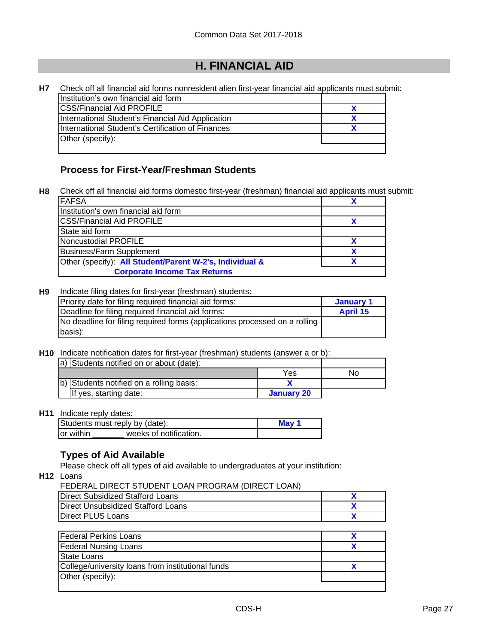| Н7 | Check off all financial aid forms nonresident alien first-year financial aid applicants must submit: |  |
|----|------------------------------------------------------------------------------------------------------|--|
|    | Institution's own financial aid form                                                                 |  |
|    | <b>CSS/Financial Aid PROFILE</b>                                                                     |  |
|    | International Student's Financial Aid Application                                                    |  |
|    | International Student's Certification of Finances                                                    |  |
|    | Other (specify):                                                                                     |  |
|    |                                                                                                      |  |

### **Process for First-Year/Freshman Students**

**H8** Check off all financial aid forms domestic first-year (freshman) financial aid applicants must submit:

| <b>FAFSA</b>                                            |  |
|---------------------------------------------------------|--|
| Institution's own financial aid form                    |  |
| <b>CSS/Financial Aid PROFILE</b>                        |  |
| State aid form                                          |  |
| Noncustodial PROFILE                                    |  |
| Business/Farm Supplement                                |  |
| Other (specify): All Student/Parent W-2's, Individual & |  |
| <b>Corporate Income Tax Returns</b>                     |  |

#### **H9** Indicate filing dates for first-year (freshman) students:

| Priority date for filing required financial aid forms:                     | January 1       |
|----------------------------------------------------------------------------|-----------------|
| Deadline for filing required financial aid forms:                          | <b>April 15</b> |
| No deadline for filing required forms (applications processed on a rolling |                 |
| basis):                                                                    |                 |

#### **H10** Indicate notification dates for first-year (freshman) students (answer a or b):

| a) Students notified on or about (date): |            |    |
|------------------------------------------|------------|----|
|                                          | Yes        | No |
| b) Students notified on a rolling basis: |            |    |
| If yes, starting date:                   | January 20 |    |

#### **H11** Indicate reply dates:

| Students must reply by (date):       | May 1 |
|--------------------------------------|-------|
| weeks of notification.<br>lor within |       |

### **Types of Aid Available**

Please check off all types of aid available to undergraduates at your institution:

**H12** Loans

| FEDERAL DIRECT STUDENT LOAN PROGRAM (DIRECT LOAN) |  |
|---------------------------------------------------|--|
| <b>Direct Subsidized Stafford Loans</b>           |  |
| Direct Unsubsidized Stafford Loans                |  |
| Direct PLUS Loans                                 |  |

| <b>Federal Perkins Loans</b>                      |  |
|---------------------------------------------------|--|
| <b>Federal Nursing Loans</b>                      |  |
| State Loans                                       |  |
| College/university loans from institutional funds |  |
| Other (specify):                                  |  |
|                                                   |  |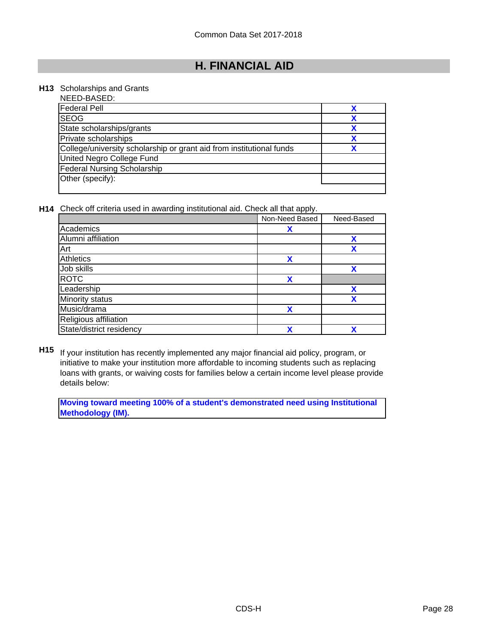#### **H13** Scholarships and Grants

| NEED-BASED:                                                          |  |
|----------------------------------------------------------------------|--|
| <b>Federal Pell</b>                                                  |  |
| <b>SEOG</b>                                                          |  |
| State scholarships/grants                                            |  |
| Private scholarships                                                 |  |
| College/university scholarship or grant aid from institutional funds |  |
| United Negro College Fund                                            |  |
| <b>Federal Nursing Scholarship</b>                                   |  |
| Other (specify):                                                     |  |
|                                                                      |  |

**H14** Check off criteria used in awarding institutional aid. Check all that apply.

|                          | Non-Need Based | Need-Based |
|--------------------------|----------------|------------|
| Academics                | x              |            |
| Alumni affiliation       |                | x          |
| Art                      |                | X          |
| Athletics                | X              |            |
| Job skills               |                | X          |
| <b>ROTC</b>              | X              |            |
| Leadership               |                | χ          |
| Minority status          |                |            |
| Music/drama              | X              |            |
| Religious affiliation    |                |            |
| State/district residency | X              | v          |

**H15** If your institution has recently implemented any major financial aid policy, program, or initiative to make your institution more affordable to incoming students such as replacing loans with grants, or waiving costs for families below a certain income level please provide details below:

**Moving toward meeting 100% of a student's demonstrated need using Institutional Methodology (IM).**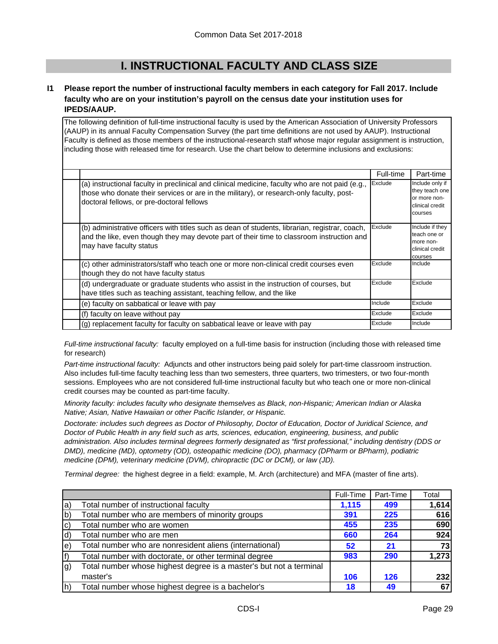# **I. INSTRUCTIONAL FACULTY AND CLASS SIZE**

#### **I1 Please report the number of instructional faculty members in each category for Fall 2017. Include faculty who are on your institution's payroll on the census date your institution uses for IPEDS/AAUP.**

The following definition of full-time instructional faculty is used by the American Association of University Professors (AAUP) in its annual Faculty Compensation Survey (the part time definitions are not used by AAUP). Instructional Faculty is defined as those members of the instructional-research staff whose major regular assignment is instruction, including those with released time for research. Use the chart below to determine inclusions and exclusions:

|                                                                                                                                                                                                                                          | Full-time | Part-time                                                                       |
|------------------------------------------------------------------------------------------------------------------------------------------------------------------------------------------------------------------------------------------|-----------|---------------------------------------------------------------------------------|
| (a) instructional faculty in preclinical and clinical medicine, faculty who are not paid (e.g.,<br>those who donate their services or are in the military), or research-only faculty, post-<br>doctoral fellows, or pre-doctoral fellows | Exclude   | Include only if<br>they teach one<br>or more non-<br>clinical credit<br>courses |
| (b) administrative officers with titles such as dean of students, librarian, registrar, coach,<br>and the like, even though they may devote part of their time to classroom instruction and<br>may have faculty status                   | Exclude   | Include if they<br>teach one or<br>more non-<br>clinical credit<br>courses      |
| (c) other administrators/staff who teach one or more non-clinical credit courses even<br>though they do not have faculty status                                                                                                          | Exclude   | Include                                                                         |
| (d) undergraduate or graduate students who assist in the instruction of courses, but<br>have titles such as teaching assistant, teaching fellow, and the like                                                                            | Exclude   | Exclude                                                                         |
| (e) faculty on sabbatical or leave with pay                                                                                                                                                                                              | Include   | Exclude                                                                         |
| (f) faculty on leave without pay                                                                                                                                                                                                         | Exclude   | Exclude                                                                         |
| (g) replacement faculty for faculty on sabbatical leave or leave with pay                                                                                                                                                                | Exclude   | Include                                                                         |

*Full-time instructional faculty:* faculty employed on a full-time basis for instruction (including those with released time for research)

*Part-time instructional faculty:* Adjuncts and other instructors being paid solely for part-time classroom instruction. Also includes full-time faculty teaching less than two semesters, three quarters, two trimesters, or two four-month sessions. Employees who are not considered full-time instructional faculty but who teach one or more non-clinical credit courses may be counted as part-time faculty.

*Minority faculty: includes faculty who designate themselves as Black, non-Hispanic; American Indian or Alaska Native; Asian, Native Hawaiian or other Pacific Islander, or Hispanic.* 

*Doctorate: includes such degrees as Doctor of Philosophy, Doctor of Education, Doctor of Juridical Science, and Doctor of Public Health in any field such as arts, sciences, education, engineering, business, and public administration. Also includes terminal degrees formerly designated as "first professional," including dentistry (DDS or DMD), medicine (MD), optometry (OD), osteopathic medicine (DO), pharmacy (DPharm or BPharm), podiatric medicine (DPM), veterinary medicine (DVM), chiropractic (DC or DCM), or law (JD).*

*Terminal degree:* the highest degree in a field: example, M. Arch (architecture) and MFA (master of fine arts).

|     |                                                                    | Full-Time | Part-Time | Total |
|-----|--------------------------------------------------------------------|-----------|-----------|-------|
| la) | Total number of instructional faculty                              | 1,115     | 499       | 1,614 |
| b   | Total number who are members of minority groups                    | 391       | 225       | 616   |
| lc) | Total number who are women                                         | 455       | 235       | 690   |
| ld) | Total number who are men                                           | 660       | 264       | 924   |
| le) | Total number who are nonresident aliens (international)            | 52        | 21        | 73    |
| f   | Total number with doctorate, or other terminal degree              | 983       | 290       | 1,273 |
| lg) | Total number whose highest degree is a master's but not a terminal |           |           |       |
|     | master's                                                           | 106       | 126       | 232   |
| lh) | Total number whose highest degree is a bachelor's                  | 18        | 49        | 67    |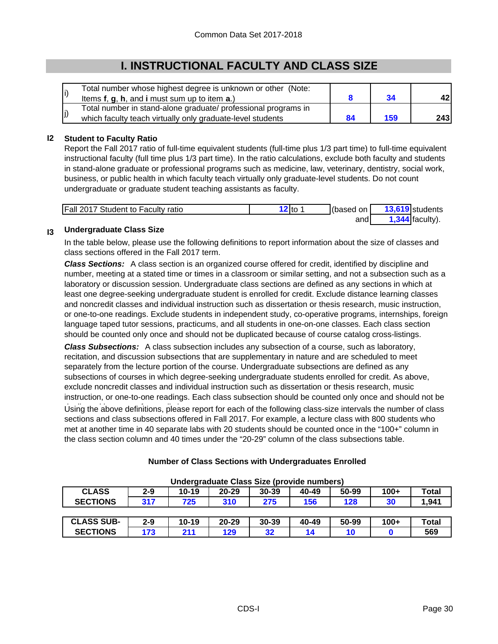# **I. INSTRUCTIONAL FACULTY AND CLASS SIZE**

| Total number whose highest degree is unknown or other (Note:<br>Items f, g, h, and i must sum up to item a.) |     |     |
|--------------------------------------------------------------------------------------------------------------|-----|-----|
| Total number in stand-alone graduate/ professional programs in                                               |     |     |
| which faculty teach virtually only graduate-level students                                                   | 159 | 243 |

#### **I2 Student to Faculty Ratio**

Report the Fall 2017 ratio of full-time equivalent students (full-time plus 1/3 part time) to full-time equivalent instructional faculty (full time plus 1/3 part time). In the ratio calculations, exclude both faculty and students in stand-alone graduate or professional programs such as medicine, law, veterinary, dentistry, social work, business, or public health in which faculty teach virtually only graduate-level students. Do not count undergraduate or graduate student teaching assistants as faculty.

| Fall 2017 Student to Faculty ratio | े? to | (based on | 13,619 students |                   |
|------------------------------------|-------|-----------|-----------------|-------------------|
|                                    |       | andl      |                 | $1,344$ faculty). |

#### **I3 Undergraduate Class Size**

In the table below, please use the following definitions to report information about the size of classes and class sections offered in the Fall 2017 term.

*Class Sections:* A class section is an organized course offered for credit, identified by discipline and number, meeting at a stated time or times in a classroom or similar setting, and not a subsection such as a laboratory or discussion session. Undergraduate class sections are defined as any sections in which at least one degree-seeking undergraduate student is enrolled for credit. Exclude distance learning classes and noncredit classes and individual instruction such as dissertation or thesis research, music instruction, or one-to-one readings. Exclude students in independent study, co-operative programs, internships, foreign language taped tutor sessions, practicums, and all students in one-on-one classes. Each class section should be counted only once and should not be duplicated because of course catalog cross-listings.

Using the above definitions, please report for each of the following class-size intervals the number of class sections and class subsections offered in Fall 2017. For example, a lecture class with 800 students who met at another time in 40 separate labs with 20 students should be counted once in the "100+" column in the class section column and 40 times under the "20-29" column of the class subsections table. *Class Subsections:* A class subsection includes any subsection of a course, such as laboratory, recitation, and discussion subsections that are supplementary in nature and are scheduled to meet separately from the lecture portion of the course. Undergraduate subsections are defined as any subsections of courses in which degree-seeking undergraduate students enrolled for credit. As above, exclude noncredit classes and individual instruction such as dissertation or thesis research, music instruction, or one-to-one readings. Each class subsection should be counted only once and should not be

| <b>CLASS</b>      | $2 - 9$ | $10 - 19$ | $20 - 29$ | $30 - 39$ | 40-49 | 50-99 | $100+$ | Total |
|-------------------|---------|-----------|-----------|-----------|-------|-------|--------|-------|
| <b>SECTIONS</b>   | 317     | 725       | 310       | 275       | 156   | 128   | 30     | 1,941 |
|                   |         |           |           |           |       |       |        |       |
| <b>CLASS SUB-</b> | $2 - 9$ | $10 - 19$ | $20 - 29$ | 30-39     | 40-49 | 50-99 | $100+$ | Total |
| <b>SECTIONS</b>   | 173     | 211       | 129       | 32        | 14    | 10    |        | 569   |

### **Number of Class Sections with Undergraduates Enrolled**

**Undergraduate Class Size (provide numbers)**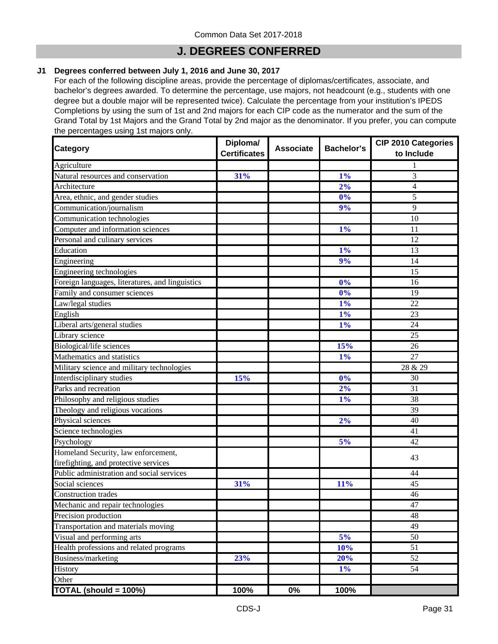### **J. DEGREES CONFERRED**

#### **J1 Degrees conferred between July 1, 2016 and June 30, 2017**

For each of the following discipline areas, provide the percentage of diplomas/certificates, associate, and bachelor's degrees awarded. To determine the percentage, use majors, not headcount (e.g., students with one degree but a double major will be represented twice). Calculate the percentage from your institution's IPEDS Completions by using the sum of 1st and 2nd majors for each CIP code as the numerator and the sum of the Grand Total by 1st Majors and the Grand Total by 2nd major as the denominator. If you prefer, you can compute the percentages using 1st majors only.

| Category                                        | Diploma/<br><b>Certificates</b> | <b>Associate</b> | <b>Bachelor's</b> | <b>CIP 2010 Categories</b><br>to Include |
|-------------------------------------------------|---------------------------------|------------------|-------------------|------------------------------------------|
| Agriculture                                     |                                 |                  |                   | 1                                        |
| Natural resources and conservation              | 31%                             |                  | 1%                | 3                                        |
| Architecture                                    |                                 |                  | 2%                | 4                                        |
| Area, ethnic, and gender studies                |                                 |                  | 0%                | 5                                        |
| Communication/journalism                        |                                 |                  | 9%                | 9                                        |
| Communication technologies                      |                                 |                  |                   | 10                                       |
| Computer and information sciences               |                                 |                  | 1%                | 11                                       |
| Personal and culinary services                  |                                 |                  |                   | 12                                       |
| Education                                       |                                 |                  | 1%                | 13                                       |
| Engineering                                     |                                 |                  | 9%                | 14                                       |
| Engineering technologies                        |                                 |                  |                   | 15                                       |
| Foreign languages, literatures, and linguistics |                                 |                  | 0%                | 16                                       |
| Family and consumer sciences                    |                                 |                  | 0%                | 19                                       |
| Law/legal studies                               |                                 |                  | 1%                | 22                                       |
| English                                         |                                 |                  | 1%                | 23                                       |
| Liberal arts/general studies                    |                                 |                  | 1%                | 24                                       |
| Library science                                 |                                 |                  |                   | $\overline{25}$                          |
| Biological/life sciences                        |                                 |                  | 15%               | 26                                       |
| Mathematics and statistics                      |                                 |                  | 1%                | 27                                       |
| Military science and military technologies      |                                 |                  |                   | 28 & 29                                  |
| Interdisciplinary studies                       | 15%                             |                  | 0%                | 30                                       |
| Parks and recreation                            |                                 |                  | 2%                | 31                                       |
| Philosophy and religious studies                |                                 |                  | 1%                | 38                                       |
| Theology and religious vocations                |                                 |                  |                   | 39                                       |
| Physical sciences                               |                                 |                  | 2%                | 40                                       |
| Science technologies                            |                                 |                  |                   | 41                                       |
| Psychology                                      |                                 |                  | 5%                | 42                                       |
| Homeland Security, law enforcement,             |                                 |                  |                   |                                          |
| firefighting, and protective services           |                                 |                  |                   | 43                                       |
| Public administration and social services       |                                 |                  |                   | 44                                       |
| Social sciences                                 | 31%                             |                  | 11%               | 45                                       |
| <b>Construction</b> trades                      |                                 |                  |                   | 46                                       |
| Mechanic and repair technologies                |                                 |                  |                   | 47                                       |
| Precision production                            |                                 |                  |                   | 48                                       |
| Transportation and materials moving             |                                 |                  |                   | 49                                       |
| Visual and performing arts                      |                                 |                  | 5%                | 50                                       |
| Health professions and related programs         |                                 |                  | 10%               | 51                                       |
| Business/marketing                              | 23%                             |                  | 20%               | 52                                       |
| History                                         |                                 |                  | $1\%$             | 54                                       |
| Other                                           |                                 |                  |                   |                                          |
| TOTAL (should = 100%)                           | 100%                            | $0\%$            | 100%              |                                          |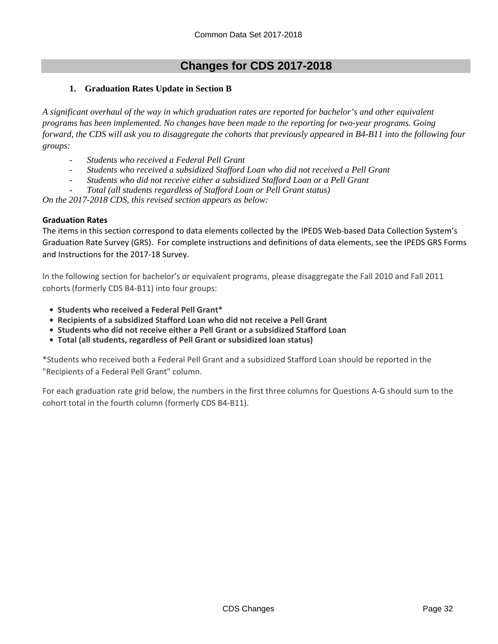#### **1. Graduation Rates Update in Section B**

*A significant overhaul of the way in which graduation rates are reported for bachelor's and other equivalent programs has been implemented. No changes have been made to the reporting for two-year programs. Going forward, the CDS will ask you to disaggregate the cohorts that previously appeared in B4-B11 into the following four groups:*

- *Students who received a Federal Pell Grant*
- *Students who received a subsidized Stafford Loan who did not received a Pell Grant*
- *Students who did not receive either a subsidized Stafford Loan or a Pell Grant*
- *Total (all students regardless of Stafford Loan or Pell Grant status)*

*On the 2017-2018 CDS, this revised section appears as below:*

#### **Graduation Rates**

The items in this section correspond to data elements collected by the IPEDS Web-based Data Collection System's Graduation Rate Survey (GRS). For complete instructions and definitions of data elements, see the IPEDS GRS Forms and Instructions for the 2017‐18 Survey.

In the following section for bachelor's or equivalent programs, please disaggregate the Fall 2010 and Fall 2011 cohorts (formerly CDS B4‐B11) into four groups:

- **• Students who received a Federal Pell Grant\***
- **• Recipients of a subsidized Stafford Loan who did not receive a Pell Grant**
- **• Students who did not receive either a Pell Grant or a subsidized Stafford Loan**
- **• Total (all students, regardless of Pell Grant or subsidized loan status)**

\*Students who received both a Federal Pell Grant and a subsidized Stafford Loan should be reported in the "Recipients of a Federal Pell Grant" column.

For each graduation rate grid below, the numbers in the first three columns for Questions A‐G should sum to the cohort total in the fourth column (formerly CDS B4‐B11).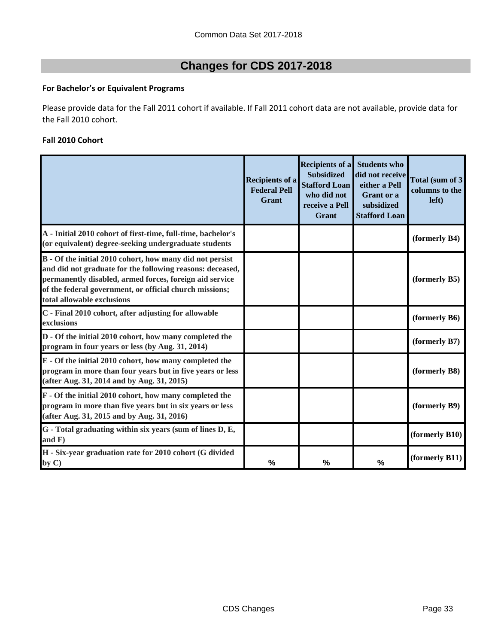### **For Bachelor's or Equivalent Programs**

Please provide data for the Fall 2011 cohort if available. If Fall 2011 cohort data are not available, provide data for the Fall 2010 cohort.

#### **Fall 2010 Cohort**

|                                                                                                                                                                                                                                                                           | <b>Recipients of a</b><br><b>Federal Pell</b><br><b>Grant</b> | <b>Recipients of a</b><br><b>Subsidized</b><br><b>Stafford Loan</b><br>who did not<br>receive a Pell<br>Grant | <b>Students who</b><br>did not receive<br>either a Pell<br>Grant or a<br>subsidized<br><b>Stafford Loan</b> | Total (sum of 3)<br>columns to the<br>left) |
|---------------------------------------------------------------------------------------------------------------------------------------------------------------------------------------------------------------------------------------------------------------------------|---------------------------------------------------------------|---------------------------------------------------------------------------------------------------------------|-------------------------------------------------------------------------------------------------------------|---------------------------------------------|
| A - Initial 2010 cohort of first-time, full-time, bachelor's<br>(or equivalent) degree-seeking undergraduate students                                                                                                                                                     |                                                               |                                                                                                               |                                                                                                             | (formerly B4)                               |
| B - Of the initial 2010 cohort, how many did not persist<br>and did not graduate for the following reasons: deceased,<br>permanently disabled, armed forces, foreign aid service<br>of the federal government, or official church missions;<br>total allowable exclusions |                                                               |                                                                                                               |                                                                                                             | (formerly B5)                               |
| C - Final 2010 cohort, after adjusting for allowable<br>exclusions                                                                                                                                                                                                        |                                                               |                                                                                                               |                                                                                                             | (formerly B6)                               |
| D - Of the initial 2010 cohort, how many completed the<br>program in four years or less (by Aug. 31, 2014)                                                                                                                                                                |                                                               |                                                                                                               |                                                                                                             | (formerly B7)                               |
| E - Of the initial 2010 cohort, how many completed the<br>program in more than four years but in five years or less<br>(after Aug. 31, 2014 and by Aug. 31, 2015)                                                                                                         |                                                               |                                                                                                               |                                                                                                             | (formerly B8)                               |
| F - Of the initial 2010 cohort, how many completed the<br>program in more than five years but in six years or less<br>(after Aug. 31, 2015 and by Aug. 31, 2016)                                                                                                          |                                                               |                                                                                                               |                                                                                                             | (formerly B9)                               |
| G - Total graduating within six years (sum of lines D, E,<br>and F)                                                                                                                                                                                                       |                                                               |                                                                                                               |                                                                                                             | (formerly B10)                              |
| H - Six-year graduation rate for 2010 cohort (G divided<br>by $C$ )                                                                                                                                                                                                       | $\frac{0}{0}$                                                 | %                                                                                                             | %                                                                                                           | (formerly B11)                              |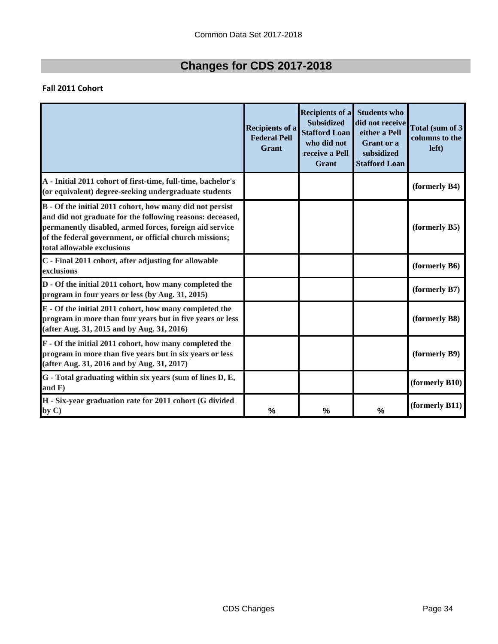### **Fall 2011 Cohort**

|                                                                                                                                                                                                                                                                           | <b>Recipients of a</b><br><b>Federal Pell</b><br>Grant | <b>Recipients of a</b><br><b>Subsidized</b><br><b>Stafford Loan</b><br>who did not<br>receive a Pell<br>Grant | <b>Students who</b><br>did not receive<br>either a Pell<br><b>Grant</b> or a<br>subsidized<br><b>Stafford Loan</b> | Total (sum of 3<br>columns to the<br>left) |
|---------------------------------------------------------------------------------------------------------------------------------------------------------------------------------------------------------------------------------------------------------------------------|--------------------------------------------------------|---------------------------------------------------------------------------------------------------------------|--------------------------------------------------------------------------------------------------------------------|--------------------------------------------|
| A - Initial 2011 cohort of first-time, full-time, bachelor's<br>(or equivalent) degree-seeking undergraduate students                                                                                                                                                     |                                                        |                                                                                                               |                                                                                                                    | (formerly B4)                              |
| B - Of the initial 2011 cohort, how many did not persist<br>and did not graduate for the following reasons: deceased,<br>permanently disabled, armed forces, foreign aid service<br>of the federal government, or official church missions;<br>total allowable exclusions |                                                        |                                                                                                               |                                                                                                                    | (formerly B5)                              |
| C - Final 2011 cohort, after adjusting for allowable<br>exclusions                                                                                                                                                                                                        |                                                        |                                                                                                               |                                                                                                                    | (formerly B6)                              |
| D - Of the initial 2011 cohort, how many completed the<br>program in four years or less (by Aug. 31, 2015)                                                                                                                                                                |                                                        |                                                                                                               |                                                                                                                    | (formerly B7)                              |
| E - Of the initial 2011 cohort, how many completed the<br>program in more than four years but in five years or less<br>(after Aug. 31, 2015 and by Aug. 31, 2016)                                                                                                         |                                                        |                                                                                                               |                                                                                                                    | (formerly B8)                              |
| F - Of the initial 2011 cohort, how many completed the<br>program in more than five years but in six years or less<br>(after Aug. 31, 2016 and by Aug. 31, 2017)                                                                                                          |                                                        |                                                                                                               |                                                                                                                    | (formerly B9)                              |
| G - Total graduating within six years (sum of lines D, E,<br>and $F$ )                                                                                                                                                                                                    |                                                        |                                                                                                               |                                                                                                                    | (formerly B10)                             |
| H - Six-year graduation rate for 2011 cohort (G divided<br>by C)                                                                                                                                                                                                          | $\frac{0}{0}$                                          | %                                                                                                             | %                                                                                                                  | (formerly B11)                             |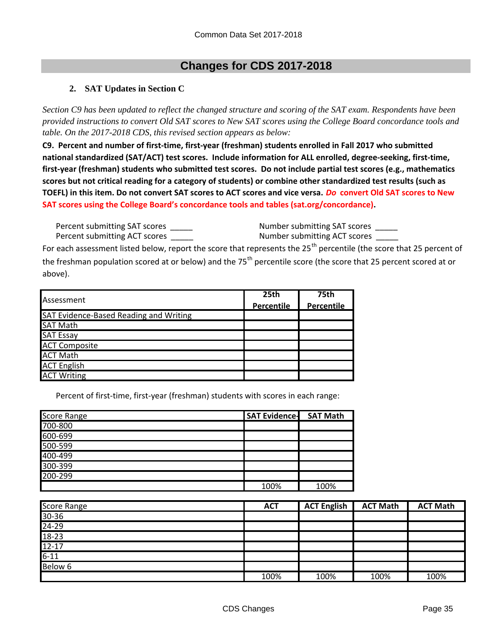#### **2. SAT Updates in Section C**

*Section C9 has been updated to reflect the changed structure and scoring of the SAT exam. Respondents have been provided instructions to convert Old SAT scores to New SAT scores using the College Board concordance tools and table. On the 2017-2018 CDS, this revised section appears as below:*

C9. Percent and number of first-time, first-year (freshman) students enrolled in Fall 2017 who submitted national standardized (SAT/ACT) test scores. Include information for ALL enrolled, degree-seeking, first-time, first-year (freshman) students who submitted test scores. Do not include partial test scores (e.g., mathematics scores but not critical reading for a category of students) or combine other standardized test results (such as TOEFL) in this item. Do not convert SAT scores to ACT scores and vice versa. Do convert Old SAT scores to New **SAT scores using the College Board's concordance tools and tables (sat.org/concordance).**

Percent submitting SAT scores \_\_\_\_\_\_ Mumber submitting SAT scores \_\_\_\_\_ Percent submitting ACT scores \_\_\_\_\_\_ Mumber submitting ACT scores \_\_\_\_\_

For each assessment listed below, report the score that represents the 25<sup>th</sup> percentile (the score that 25 percent of the freshman population scored at or below) and the 75<sup>th</sup> percentile score (the score that 25 percent scored at or above).

|                                        | 25th       | 75th       |
|----------------------------------------|------------|------------|
| Assessment                             | Percentile | Percentile |
| SAT Evidence-Based Reading and Writing |            |            |
| <b>SAT Math</b>                        |            |            |
| <b>SAT Essay</b>                       |            |            |
| <b>ACT Composite</b>                   |            |            |
| <b>ACT Math</b>                        |            |            |
| <b>ACT English</b>                     |            |            |
| <b>ACT Writing</b>                     |            |            |

Percent of first-time, first-year (freshman) students with scores in each range:

| <b>Score Range</b> | <b>SAT Evidence- SAT Math</b> |      |
|--------------------|-------------------------------|------|
| 700-800            |                               |      |
| 600-699            |                               |      |
| 500-599            |                               |      |
| 400-499            |                               |      |
| 300-399            |                               |      |
| 200-299            |                               |      |
|                    | 100%                          | 100% |

| <b>Score Range</b>    | <b>ACT</b> | <b>ACT English</b> | <b>ACT Math</b> | <b>ACT Math</b> |
|-----------------------|------------|--------------------|-----------------|-----------------|
|                       |            |                    |                 |                 |
| $\frac{30-36}{24-29}$ |            |                    |                 |                 |
| 18-23                 |            |                    |                 |                 |
| $12 - 17$             |            |                    |                 |                 |
| $6 - 11$              |            |                    |                 |                 |
| Below 6               |            |                    |                 |                 |
|                       | 100%       | 100%               | 100%            | 100%            |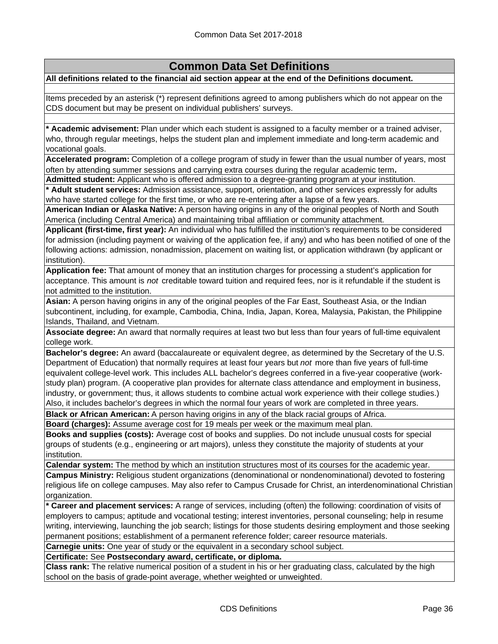**All definitions related to the financial aid section appear at the end of the Definitions document.**

Items preceded by an asterisk (\*) represent definitions agreed to among publishers which do not appear on the CDS document but may be present on individual publishers' surveys.

**\* Academic advisement:** Plan under which each student is assigned to a faculty member or a trained adviser, who, through regular meetings, helps the student plan and implement immediate and long-term academic and vocational goals.

**Accelerated program:** Completion of a college program of study in fewer than the usual number of years, most often by attending summer sessions and carrying extra courses during the regular academic term**.**

**Admitted student:** Applicant who is offered admission to a degree-granting program at your institution.

**\* Adult student services:** Admission assistance, support, orientation, and other services expressly for adults who have started college for the first time, or who are re-entering after a lapse of a few years.

**American Indian or Alaska Native:** A person having origins in any of the original peoples of North and South America (including Central America) and maintaining tribal affiliation or community attachment.

**Applicant (first-time, first year):** An individual who has fulfilled the institution's requirements to be considered for admission (including payment or waiving of the application fee, if any) and who has been notified of one of the following actions: admission, nonadmission, placement on waiting list, or application withdrawn (by applicant or institution).

**Application fee:** That amount of money that an institution charges for processing a student's application for acceptance. This amount is *not* creditable toward tuition and required fees, nor is it refundable if the student is not admitted to the institution.

**Asian:** A person having origins in any of the original peoples of the Far East, Southeast Asia, or the Indian subcontinent, including, for example, Cambodia, China, India, Japan, Korea, Malaysia, Pakistan, the Philippine Islands, Thailand, and Vietnam.

**Associate degree:** An award that normally requires at least two but less than four years of full-time equivalent college work.

**Bachelor's degree:** An award (baccalaureate or equivalent degree, as determined by the Secretary of the U.S. Department of Education) that normally requires at least four years but *not* more than five years of full-time equivalent college-level work. This includes ALL bachelor's degrees conferred in a five-year cooperative (workstudy plan) program. (A cooperative plan provides for alternate class attendance and employment in business, industry, or government; thus, it allows students to combine actual work experience with their college studies.) Also, it includes bachelor's degrees in which the normal four years of work are completed in three years.

**Black or African American:** A person having origins in any of the black racial groups of Africa.

**Board (charges):** Assume average cost for 19 meals per week or the maximum meal plan.

**Books and supplies (costs):** Average cost of books and supplies. Do not include unusual costs for special groups of students (e.g., engineering or art majors), unless they constitute the majority of students at your institution.

**Calendar system:** The method by which an institution structures most of its courses for the academic year.

**Campus Ministry:** Religious student organizations (denominational or nondenominational) devoted to fostering religious life on college campuses. May also refer to Campus Crusade for Christ, an interdenominational Christian organization.

**\* Career and placement services:** A range of services, including (often) the following: coordination of visits of employers to campus; aptitude and vocational testing; interest inventories, personal counseling; help in resume writing, interviewing, launching the job search; listings for those students desiring employment and those seeking permanent positions; establishment of a permanent reference folder; career resource materials.

**Carnegie units:** One year of study or the equivalent in a secondary school subject.

**Certificate:** See **Postsecondary award, certificate, or diploma.**

**Class rank:** The relative numerical position of a student in his or her graduating class, calculated by the high school on the basis of grade-point average, whether weighted or unweighted.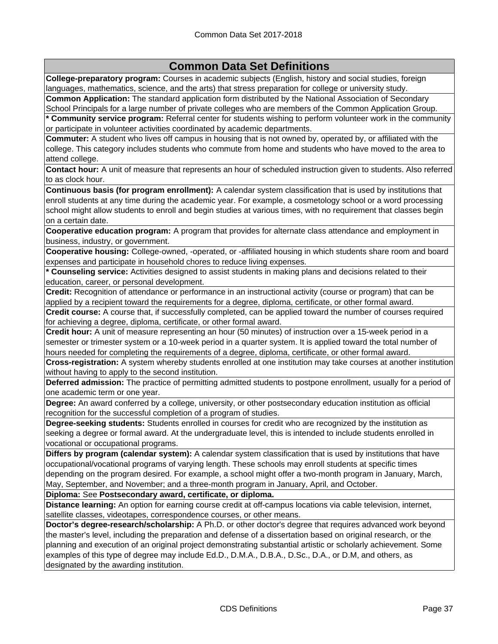**College-preparatory program:** Courses in academic subjects (English, history and social studies, foreign languages, mathematics, science, and the arts) that stress preparation for college or university study. **Common Application:** The standard application form distributed by the National Association of Secondary

School Principals for a large number of private colleges who are members of the Common Application Group. **\* Community service program:** Referral center for students wishing to perform volunteer work in the community

or participate in volunteer activities coordinated by academic departments.

**Commuter:** A student who lives off campus in housing that is not owned by, operated by, or affiliated with the college. This category includes students who commute from home and students who have moved to the area to attend college.

**Contact hour:** A unit of measure that represents an hour of scheduled instruction given to students. Also referred to as clock hour.

**Continuous basis (for program enrollment):** A calendar system classification that is used by institutions that enroll students at any time during the academic year. For example, a cosmetology school or a word processing school might allow students to enroll and begin studies at various times, with no requirement that classes begin on a certain date.

**Cooperative education program:** A program that provides for alternate class attendance and employment in business, industry, or government.

**Cooperative housing:** College-owned, -operated, or -affiliated housing in which students share room and board expenses and participate in household chores to reduce living expenses.

**\* Counseling service:** Activities designed to assist students in making plans and decisions related to their education, career, or personal development.

**Credit:** Recognition of attendance or performance in an instructional activity (course or program) that can be applied by a recipient toward the requirements for a degree, diploma, certificate, or other formal award.

**Credit course:** A course that, if successfully completed, can be applied toward the number of courses required for achieving a degree, diploma, certificate, or other formal award.

**Credit hour:** A unit of measure representing an hour (50 minutes) of instruction over a 15-week period in a semester or trimester system or a 10-week period in a quarter system. It is applied toward the total number of hours needed for completing the requirements of a degree, diploma, certificate, or other formal award.

**Cross-registration:** A system whereby students enrolled at one institution may take courses at another institution without having to apply to the second institution.

**Deferred admission:** The practice of permitting admitted students to postpone enrollment, usually for a period of one academic term or one year.

**Degree:** An award conferred by a college, university, or other postsecondary education institution as official recognition for the successful completion of a program of studies.

**Degree-seeking students:** Students enrolled in courses for credit who are recognized by the institution as seeking a degree or formal award. At the undergraduate level, this is intended to include students enrolled in vocational or occupational programs.

**Differs by program (calendar system):** A calendar system classification that is used by institutions that have occupational/vocational programs of varying length. These schools may enroll students at specific times depending on the program desired. For example, a school might offer a two-month program in January, March, May, September, and November; and a three-month program in January, April, and October.

**Diploma:** See **Postsecondary award, certificate, or diploma.**

**Distance learning:** An option for earning course credit at off-campus locations via cable television, internet, satellite classes, videotapes, correspondence courses, or other means.

**Doctor's degree-research/scholarship:** A Ph.D. or other doctor's degree that requires advanced work beyond the master's level, including the preparation and defense of a dissertation based on original research, or the planning and execution of an original project demonstrating substantial artistic or scholarly achievement. Some examples of this type of degree may include Ed.D., D.M.A., D.B.A., D.Sc., D.A., or D.M, and others, as designated by the awarding institution.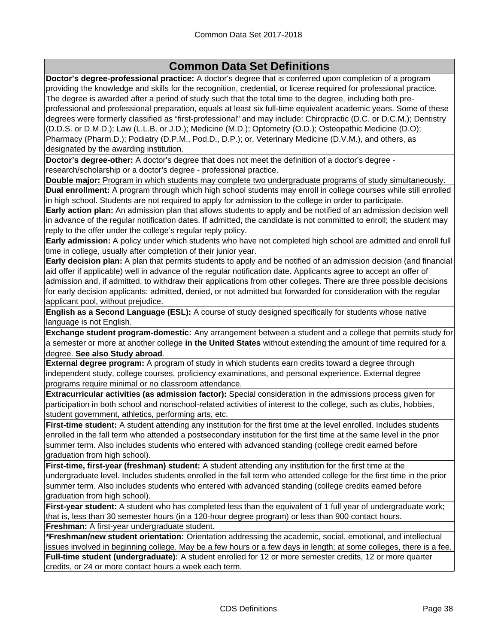**Doctor's degree-professional practice:** A doctor's degree that is conferred upon completion of a program providing the knowledge and skills for the recognition, credential, or license required for professional practice. The degree is awarded after a period of study such that the total time to the degree, including both preprofessional and professional preparation, equals at least six full-time equivalent academic years. Some of these degrees were formerly classified as "first-professional" and may include: Chiropractic (D.C. or D.C.M.); Dentistry (D.D.S. or D.M.D.); Law (L.L.B. or J.D.); Medicine (M.D.); Optometry (O.D.); Osteopathic Medicine (D.O); Pharmacy (Pharm.D.); Podiatry (D.P.M., Pod.D., D.P.); or, Veterinary Medicine (D.V.M.), and others, as designated by the awarding institution.

**Doctor's degree-other:** A doctor's degree that does not meet the definition of a doctor's degree research/scholarship or a doctor's degree - professional practice.

**Double major:** Program in which students may complete two undergraduate programs of study simultaneously. **Dual enrollment:** A program through which high school students may enroll in college courses while still enrolled in high school. Students are not required to apply for admission to the college in order to participate.

**Early action plan:** An admission plan that allows students to apply and be notified of an admission decision well in advance of the regular notification dates. If admitted, the candidate is not committed to enroll; the student may reply to the offer under the college's regular reply policy.

**Early admission:** A policy under which students who have not completed high school are admitted and enroll full time in college, usually after completion of their junior year.

**Early decision plan:** A plan that permits students to apply and be notified of an admission decision (and financial aid offer if applicable) well in advance of the regular notification date. Applicants agree to accept an offer of admission and, if admitted, to withdraw their applications from other colleges. There are three possible decisions for early decision applicants: admitted, denied, or not admitted but forwarded for consideration with the regular applicant pool, without prejudice.

**English as a Second Language (ESL):** A course of study designed specifically for students whose native language is not English.

**Exchange student program-domestic:** Any arrangement between a student and a college that permits study for a semester or more at another college **in the United States** without extending the amount of time required for a degree. **See also Study abroad**.

**External degree program:** A program of study in which students earn credits toward a degree through independent study, college courses, proficiency examinations, and personal experience. External degree programs require minimal or no classroom attendance.

**Extracurricular activities (as admission factor):** Special consideration in the admissions process given for participation in both school and nonschool-related activities of interest to the college, such as clubs, hobbies, student government, athletics, performing arts, etc.

**First-time student:** A student attending any institution for the first time at the level enrolled. Includes students enrolled in the fall term who attended a postsecondary institution for the first time at the same level in the prior summer term. Also includes students who entered with advanced standing (college credit earned before graduation from high school).

**First-time, first-year (freshman) student:** A student attending any institution for the first time at the undergraduate level. Includes students enrolled in the fall term who attended college for the first time in the prior summer term. Also includes students who entered with advanced standing (college credits earned before graduation from high school).

**First-year student:** A student who has completed less than the equivalent of 1 full year of undergraduate work; that is, less than 30 semester hours (in a 120-hour degree program) or less than 900 contact hours. **Freshman:** A first-year undergraduate student.

**\*Freshman/new student orientation:** Orientation addressing the academic, social, emotional, and intellectual issues involved in beginning college. May be a few hours or a few days in length; at some colleges, there is a fee. **Full-time student (undergraduate):** A student enrolled for 12 or more semester credits, 12 or more quarter credits, or 24 or more contact hours a week each term.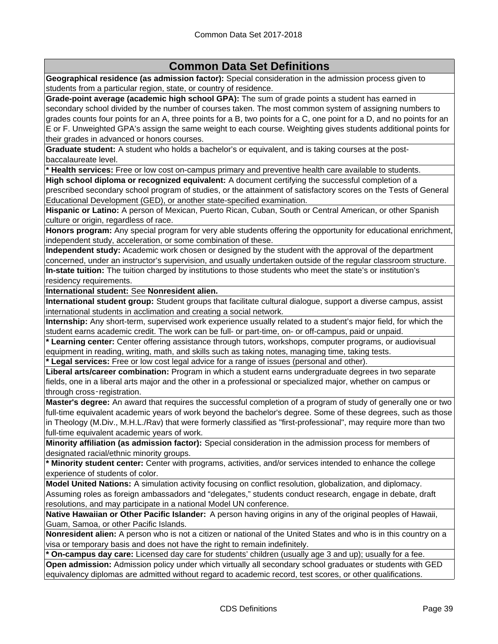**Geographical residence (as admission factor):** Special consideration in the admission process given to students from a particular region, state, or country of residence.

**Grade-point average (academic high school GPA):** The sum of grade points a student has earned in secondary school divided by the number of courses taken. The most common system of assigning numbers to grades counts four points for an A, three points for a B, two points for a C, one point for a D, and no points for an E or F. Unweighted GPA's assign the same weight to each course. Weighting gives students additional points for their grades in advanced or honors courses.

**Graduate student:** A student who holds a bachelor's or equivalent, and is taking courses at the postbaccalaureate level.

**\* Health services:** Free or low cost on-campus primary and preventive health care available to students.

**High school diploma or recognized equivalent:** A document certifying the successful completion of a prescribed secondary school program of studies, or the attainment of satisfactory scores on the Tests of General Educational Development (GED), or another state-specified examination.

**Hispanic or Latino:** A person of Mexican, Puerto Rican, Cuban, South or Central American, or other Spanish culture or origin, regardless of race.

**Honors program:** Any special program for very able students offering the opportunity for educational enrichment, independent study, acceleration, or some combination of these.

**Independent study:** Academic work chosen or designed by the student with the approval of the department concerned, under an instructor's supervision, and usually undertaken outside of the regular classroom structure. **In-state tuition:** The tuition charged by institutions to those students who meet the state's or institution's residency requirements.

**International student:** See **Nonresident alien.**

**International student group:** Student groups that facilitate cultural dialogue, support a diverse campus, assist international students in acclimation and creating a social network.

**Internship:** Any short-term, supervised work experience usually related to a student's major field, for which the student earns academic credit. The work can be full- or part-time, on- or off-campus, paid or unpaid.

**\* Learning center:** Center offering assistance through tutors, workshops, computer programs, or audiovisual equipment in reading, writing, math, and skills such as taking notes, managing time, taking tests.

**\* Legal services:** Free or low cost legal advice for a range of issues (personal and other).

**Liberal arts/career combination:** Program in which a student earns undergraduate degrees in two separate fields, one in a liberal arts major and the other in a professional or specialized major, whether on campus or through cross‑registration.

**Master's degree:** An award that requires the successful completion of a program of study of generally one or two full-time equivalent academic years of work beyond the bachelor's degree. Some of these degrees, such as those in Theology (M.Div., M.H.L./Rav) that were formerly classified as "first-professional", may require more than two full-time equivalent academic years of work.

**Minority affiliation (as admission factor):** Special consideration in the admission process for members of designated racial/ethnic minority groups.

**\* Minority student center:** Center with programs, activities, and/or services intended to enhance the college experience of students of color.

**Model United Nations:** A simulation activity focusing on conflict resolution, globalization, and diplomacy. Assuming roles as foreign ambassadors and "delegates," students conduct research, engage in debate, draft resolutions, and may participate in a national Model UN conference.

**Native Hawaiian or Other Pacific Islander:** A person having origins in any of the original peoples of Hawaii, Guam, Samoa, or other Pacific Islands.

**Nonresident alien:** A person who is not a citizen or national of the United States and who is in this country on a visa or temporary basis and does not have the right to remain indefinitely.

**\* On-campus day care:** Licensed day care for students' children (usually age 3 and up); usually for a fee.

**Open admission:** Admission policy under which virtually all secondary school graduates or students with GED equivalency diplomas are admitted without regard to academic record, test scores, or other qualifications.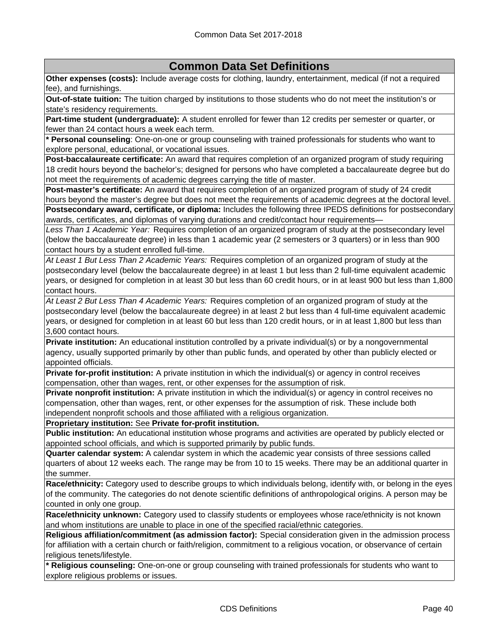**Other expenses (costs):** Include average costs for clothing, laundry, entertainment, medical (if not a required fee), and furnishings.

**Out-of-state tuition:** The tuition charged by institutions to those students who do not meet the institution's or state's residency requirements.

**Part-time student (undergraduate):** A student enrolled for fewer than 12 credits per semester or quarter, or fewer than 24 contact hours a week each term.

**\* Personal counseling**: One-on-one or group counseling with trained professionals for students who want to explore personal, educational, or vocational issues.

**Post-baccalaureate certificate:** An award that requires completion of an organized program of study requiring 18 credit hours beyond the bachelor's; designed for persons who have completed a baccalaureate degree but do not meet the requirements of academic degrees carrying the title of master.

**Post-master's certificate:** An award that requires completion of an organized program of study of 24 credit hours beyond the master's degree but does not meet the requirements of academic degrees at the doctoral level.

**Postsecondary award, certificate, or diploma:** Includes the following three IPEDS definitions for postsecondary awards, certificates, and diplomas of varying durations and credit/contact hour requirements—

*Less Than 1 Academic Year:* Requires completion of an organized program of study at the postsecondary level (below the baccalaureate degree) in less than 1 academic year (2 semesters or 3 quarters) or in less than 900 contact hours by a student enrolled full-time.

*At Least 1 But Less Than 2 Academic Years:* Requires completion of an organized program of study at the postsecondary level (below the baccalaureate degree) in at least 1 but less than 2 full-time equivalent academic years, or designed for completion in at least 30 but less than 60 credit hours, or in at least 900 but less than 1,800 contact hours.

*At Least 2 But Less Than 4 Academic Years:* Requires completion of an organized program of study at the postsecondary level (below the baccalaureate degree) in at least 2 but less than 4 full-time equivalent academic years, or designed for completion in at least 60 but less than 120 credit hours, or in at least 1,800 but less than 3,600 contact hours.

**Private institution:** An educational institution controlled by a private individual(s) or by a nongovernmental agency, usually supported primarily by other than public funds, and operated by other than publicly elected or appointed officials.

**Private for-profit institution:** A private institution in which the individual(s) or agency in control receives compensation, other than wages, rent, or other expenses for the assumption of risk.

**Private nonprofit institution:** A private institution in which the individual(s) or agency in control receives no compensation, other than wages, rent, or other expenses for the assumption of risk. These include both independent nonprofit schools and those affiliated with a religious organization.

**Proprietary institution:** See **Private for-profit institution.**

**Public institution:** An educational institution whose programs and activities are operated by publicly elected or appointed school officials, and which is supported primarily by public funds.

**Quarter calendar system:** A calendar system in which the academic year consists of three sessions called quarters of about 12 weeks each. The range may be from 10 to 15 weeks. There may be an additional quarter in the summer.

**Race/ethnicity:** Category used to describe groups to which individuals belong, identify with, or belong in the eyes of the community. The categories do not denote scientific definitions of anthropological origins. A person may be counted in only one group.

**Race/ethnicity unknown:** Category used to classify students or employees whose race/ethnicity is not known and whom institutions are unable to place in one of the specified racial/ethnic categories.

**Religious affiliation/commitment (as admission factor):** Special consideration given in the admission process for affiliation with a certain church or faith/religion, commitment to a religious vocation, or observance of certain religious tenets/lifestyle.

**\* Religious counseling:** One-on-one or group counseling with trained professionals for students who want to explore religious problems or issues.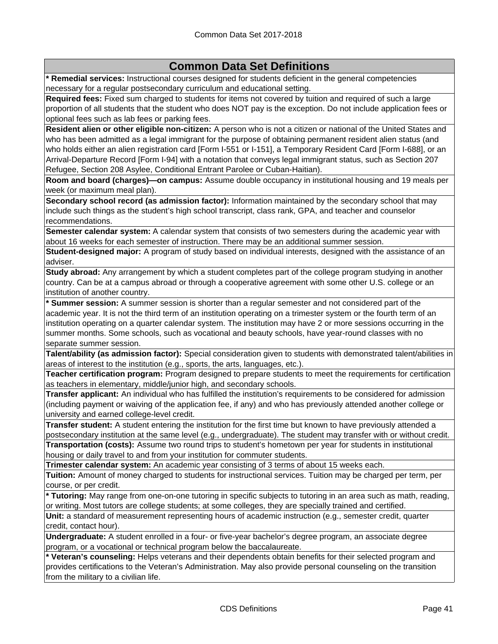**\* Remedial services:** Instructional courses designed for students deficient in the general competencies necessary for a regular postsecondary curriculum and educational setting.

**Required fees:** Fixed sum charged to students for items not covered by tuition and required of such a large proportion of all students that the student who does NOT pay is the exception. Do not include application fees or optional fees such as lab fees or parking fees.

**Resident alien or other eligible non-citizen:** A person who is not a citizen or national of the United States and who has been admitted as a legal immigrant for the purpose of obtaining permanent resident alien status (and who holds either an alien registration card [Form I-551 or I-151], a Temporary Resident Card [Form I-688], or an Arrival-Departure Record [Form I-94] with a notation that conveys legal immigrant status, such as Section 207 Refugee, Section 208 Asylee, Conditional Entrant Parolee or Cuban-Haitian).

**Room and board (charges)—on campus:** Assume double occupancy in institutional housing and 19 meals per week (or maximum meal plan).

**Secondary school record (as admission factor):** Information maintained by the secondary school that may include such things as the student's high school transcript, class rank, GPA, and teacher and counselor recommendations.

**Semester calendar system:** A calendar system that consists of two semesters during the academic year with about 16 weeks for each semester of instruction. There may be an additional summer session.

**Student-designed major:** A program of study based on individual interests, designed with the assistance of an adviser.

**Study abroad:** Any arrangement by which a student completes part of the college program studying in another country. Can be at a campus abroad or through a cooperative agreement with some other U.S. college or an institution of another country.

**\* Summer session:** A summer session is shorter than a regular semester and not considered part of the academic year. It is not the third term of an institution operating on a trimester system or the fourth term of an institution operating on a quarter calendar system. The institution may have 2 or more sessions occurring in the summer months. Some schools, such as vocational and beauty schools, have year-round classes with no separate summer session.

**Talent/ability (as admission factor):** Special consideration given to students with demonstrated talent/abilities in areas of interest to the institution (e.g., sports, the arts, languages, etc.).

**Teacher certification program:** Program designed to prepare students to meet the requirements for certification as teachers in elementary, middle/junior high, and secondary schools.

**Transfer applicant:** An individual who has fulfilled the institution's requirements to be considered for admission (including payment or waiving of the application fee, if any) and who has previously attended another college or university and earned college-level credit.

**Transfer student:** A student entering the institution for the first time but known to have previously attended a postsecondary institution at the same level (e.g., undergraduate). The student may transfer with or without credit. **Transportation (costs):** Assume two round trips to student's hometown per year for students in institutional

housing or daily travel to and from your institution for commuter students.

**Trimester calendar system:** An academic year consisting of 3 terms of about 15 weeks each.

**Tuition:** Amount of money charged to students for instructional services. Tuition may be charged per term, per course, or per credit.

**\* Tutoring:** May range from one-on-one tutoring in specific subjects to tutoring in an area such as math, reading, or writing. Most tutors are college students; at some colleges, they are specially trained and certified.

**Unit:** a standard of measurement representing hours of academic instruction (e.g., semester credit, quarter credit, contact hour).

**Undergraduate:** A student enrolled in a four- or five-year bachelor's degree program, an associate degree program, or a vocational or technical program below the baccalaureate.

**\* Veteran's counseling:** Helps veterans and their dependents obtain benefits for their selected program and provides certifications to the Veteran's Administration. May also provide personal counseling on the transition from the military to a civilian life.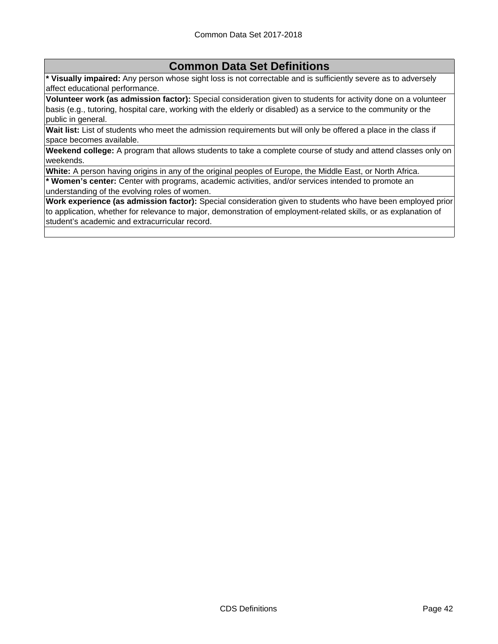**\* Visually impaired:** Any person whose sight loss is not correctable and is sufficiently severe as to adversely affect educational performance.

**Volunteer work (as admission factor):** Special consideration given to students for activity done on a volunteer basis (e.g., tutoring, hospital care, working with the elderly or disabled) as a service to the community or the public in general.

**Wait list:** List of students who meet the admission requirements but will only be offered a place in the class if space becomes available.

**Weekend college:** A program that allows students to take a complete course of study and attend classes only on weekends.

**White:** A person having origins in any of the original peoples of Europe, the Middle East, or North Africa.

**\* Women's center:** Center with programs, academic activities, and/or services intended to promote an understanding of the evolving roles of women.

**Work experience (as admission factor):** Special consideration given to students who have been employed prior to application, whether for relevance to major, demonstration of employment-related skills, or as explanation of student's academic and extracurricular record.